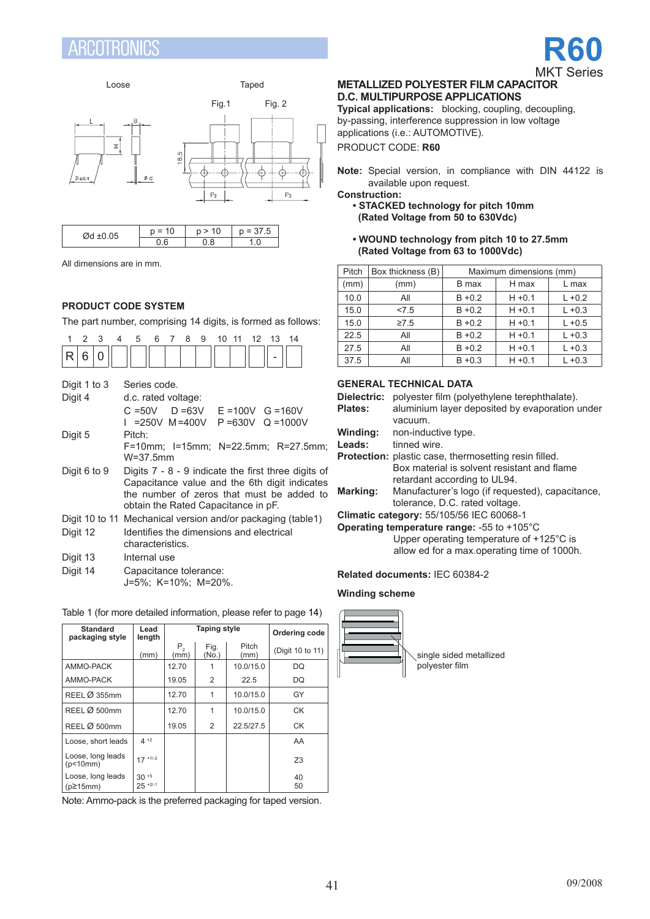#### RENTRAN £S





| $\sim$ $-$<br>$\sim$ . | U | u | $\mathbf{r}$<br>ν. |  |  |
|------------------------|---|---|--------------------|--|--|
|                        |   | Ω |                    |  |  |

All dimensions are in mm.

# **Product code system**

The part number, comprising 14 digits, is formed as follows:

| $\mathcal{P}$<br>3<br>1<br>4                                                                                                                                                                               | 5<br>6<br>$7^{\circ}$<br>8<br>9<br>10 11<br>12 <sup>7</sup><br>13<br>14 |  |  |  |  |  |  |  |
|------------------------------------------------------------------------------------------------------------------------------------------------------------------------------------------------------------|-------------------------------------------------------------------------|--|--|--|--|--|--|--|
| 6<br>R<br>0                                                                                                                                                                                                |                                                                         |  |  |  |  |  |  |  |
| Digit 1 to 3<br>Digit 4                                                                                                                                                                                    | Series code.<br>d.c. rated voltage:                                     |  |  |  |  |  |  |  |
|                                                                                                                                                                                                            | $C = 50V$ D = 63V E = 100V G = 160V                                     |  |  |  |  |  |  |  |
| Digit 5                                                                                                                                                                                                    | I =250V M=400V P=630V Q=1000V<br>Pitch:                                 |  |  |  |  |  |  |  |
|                                                                                                                                                                                                            | F=10mm; I=15mm; N=22.5mm; R=27.5mm;<br>W=37.5mm                         |  |  |  |  |  |  |  |
| Digit 6 to 9<br>Digits $7 - 8 - 9$ indicate the first three digits of<br>Capacitance value and the 6th digit indicates<br>the number of zeros that must be added to<br>obtain the Rated Capacitance in pF. |                                                                         |  |  |  |  |  |  |  |
|                                                                                                                                                                                                            | Digit 10 to 11 Mechanical version and/or packaging (table1)             |  |  |  |  |  |  |  |
| Digit 12                                                                                                                                                                                                   | Identifies the dimensions and electrical<br>characteristics.            |  |  |  |  |  |  |  |
| Digit 13                                                                                                                                                                                                   | Internal use                                                            |  |  |  |  |  |  |  |
| Digit 14                                                                                                                                                                                                   | Capacitance tolerance:<br>J=5%; K=10%; M=20%.                           |  |  |  |  |  |  |  |

### Table 1 (for more detailed information, please refer to page 14)

| <b>Standard</b><br>packaging style   | Lead<br>length                    |                 | <b>Taping style</b> | Ordering code |                  |
|--------------------------------------|-----------------------------------|-----------------|---------------------|---------------|------------------|
|                                      | (mm)                              | $P_{2}$<br>(mm) | Fig.<br>(No.)       | Pitch<br>(mm) | (Digit 10 to 11) |
| AMMO-PACK                            |                                   | 12.70           |                     | 10.0/15.0     | DQ               |
| AMMO-PACK                            |                                   | 19.05           | 2                   | 22.5          | DQ               |
| REEL Ø 355mm                         |                                   | 12.70           | 1                   | 10.0/15.0     | GY               |
| REEL Ø 500mm                         |                                   | 12.70           | 1                   | 10.0/15.0     | СK               |
| REEL Ø 500mm                         |                                   | 19.05           | 2                   | 22.5/27.5     | <b>CK</b>        |
| Loose, short leads                   | $4 + 2$                           |                 |                     |               | AA               |
| Loose, long leads<br>(p<10mm)        | $17 + 1/-2$                       |                 |                     |               | Z3               |
| Loose, long leads<br>$(p\geq 15$ mm) | $30 + 5$<br>$25$ <sup>+2/-1</sup> |                 |                     |               | 40<br>50         |

Note: Ammo-pack is the preferred packaging for taped version.

## **METALLIZED POLYESTER FILM CAPACITOR D.C. MULTIPURPOSE APPLICATIONS**

**Typical applications:** blocking, coupling, decoupling, by-passing, interference suppression in low voltage applications (i.e.: AUTOMOTIVE). PRODUCT CODE: **R60**

**Note:** Special version, in compliance with DIN 44122 is available upon request.

**Construction:**

### **• STACKED technology for pitch 10mm (Rated Voltage from 50 to 630Vdc)**

**• WOUND technology from pitch 10 to 27.5mm (Rated Voltage from 63 to 1000Vdc)**

| Pitch | Box thickness (B) | Maximum dimensions (mm) |           |           |  |  |  |  |
|-------|-------------------|-------------------------|-----------|-----------|--|--|--|--|
| (mm)  | (mm)              | B max                   | H max     | L max     |  |  |  |  |
| 10.0  | All               | $B + 0.2$               | $H + 0.1$ | $L + 0.2$ |  |  |  |  |
| 15.0  | 27.5              | $B + 0.2$               | $H + 0.1$ | $L + 0.3$ |  |  |  |  |
| 15.0  | $\geq 7.5$        | $B + 0.2$               | $H + 0.1$ | $L + 0.5$ |  |  |  |  |
| 22.5  | All               | $B + 0.2$               | $H + 0.1$ | $L + 0.3$ |  |  |  |  |
| 27.5  | All               | $B + 0.2$               | $H + 0.1$ | $L + 0.3$ |  |  |  |  |
| 37.5  | All               | $B + 0.3$               | $H + 0.1$ | $L + 0.3$ |  |  |  |  |

### **GENERAL TECHNICAL DATA**

| Dielectric:    | polyester film (polyethylene terephthalate).                 |
|----------------|--------------------------------------------------------------|
| <b>Plates:</b> | aluminium layer deposited by evaporation under               |
|                | vacuum.                                                      |
| Winding:       | non-inductive type.                                          |
| Leads:         | tinned wire                                                  |
|                | <b>Protection:</b> plastic case, thermosetting resin filled. |
|                | Box material is solvent resistant and flame                  |
|                | retardant according to UL94.                                 |
| Marking:       | Manufacturer's logo (if requested), capacitance,             |
|                | tolerance, D.C. rated voltage.                               |
|                | Climatic category: 55/105/56 IEC 60068-1                     |
|                | Operating temperature range: -55 to +105 $^{\circ}$ C        |
|                | Upper operating temperature of +125°C is                     |

allow ed for a max.operating time of 1000h.

## **Related documents:** IEC 60384-2

#### **Winding scheme**

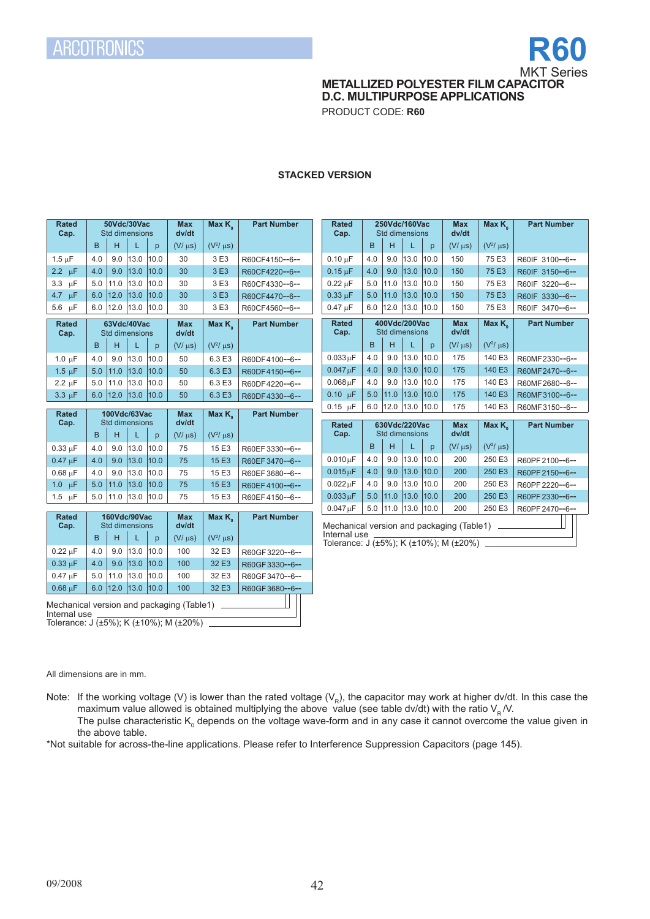

**METALLIZED POLYESTER FILM CAPACITOR** 

**D.C. MULTIPURPOSE APPLICATIONS**

PRODUCT CODE: **R60**

## **STACKED VERSION**

| <b>Rated</b><br>Cap.      |                                                                                                     |             | 50Vdc/30Vac<br>Std dimensions  |      | <b>Max</b><br>dv/dt | Max $K_{\circ}$    | <b>Part Number</b> |  | <b>Rated</b><br>Cap.                                   |     |             | 250Vdc/160Vac<br>Std dimensions |      | <b>Max</b><br>dv/dt | Max $K_{\circ}$    | <b>Part Number</b> |
|---------------------------|-----------------------------------------------------------------------------------------------------|-------------|--------------------------------|------|---------------------|--------------------|--------------------|--|--------------------------------------------------------|-----|-------------|---------------------------------|------|---------------------|--------------------|--------------------|
|                           | B                                                                                                   | H           | L                              | p    | $(V/\mu s)$         | $(V^2/\mu s)$      |                    |  |                                                        | B   | H           |                                 | p    | $(V/\mu s)$         | $(V^2/\mu s)$      |                    |
| $1.5 \mu F$               | 4.0                                                                                                 | 9.0         | 13.0                           | 10.0 | 30                  | 3 E3               | R60CF4150--6--     |  | $0.10 \mu F$                                           | 4.0 | 9.0         | 13.0                            | 10.0 | 150                 | 75 E3              | R60IF 3100--6--    |
| $2.2 \text{ }\mu\text{F}$ | 4.0                                                                                                 | 9.0         | 13.0                           | 10.0 | 30                  | 3 E3               | R60CF4220--6--     |  | $0.15 \mu F$                                           | 4.0 | 9.0         | 13.0                            | 10.0 | 150                 | 75 E3              | R60IF 3150--6--    |
| $3.3 \mu F$               | 5.0                                                                                                 | 11.0        | 13.0                           | 10.0 | 30                  | 3 E3               | R60CF4330--6--     |  | $0.22 \mu F$                                           | 5.0 | 11.0        | 13.0                            | 10.0 | 150                 | 75 E3              | R60IF 3220--6--    |
| 4.7 $\mu$ F               | 6.0                                                                                                 | 12.0        | 13.0                           | 10.0 | 30                  | 3 E3               | R60CF4470--6--     |  | $0.33 \mu F$                                           | 5.0 | 11.0        | 13.0                            | 10.0 | 150                 | 75 E3              | R60IF 3330--6--    |
| 5.6 µF                    | 6.0                                                                                                 | 12.0        | 13.0                           | 10.0 | 30                  | 3 E3               | R60CF4560--6--     |  | $0.47 \text{ uF}$                                      | 6.0 | 12.0        | 13.0                            | 10.0 | 150                 | 75 E3              | R60IF 3470--6--    |
| <b>Rated</b><br>Cap.      |                                                                                                     |             | 63Vdc/40Vac<br>Std dimensions  |      | <b>Max</b><br>dv/dt | Max $K_{a}$        | <b>Part Number</b> |  | <b>Rated</b><br>Cap.                                   |     |             | 400Vdc/200Vac<br>Std dimensions |      | <b>Max</b><br>dv/dt | Max K <sub>o</sub> | <b>Part Number</b> |
|                           | B                                                                                                   | н           | L                              | p    | $(V/\mu s)$         | $(V^2/\mu s)$      |                    |  |                                                        | B   | H           |                                 | p    | $(V/\mu s)$         | $(V^2/\mu s)$      |                    |
| $1.0 \mu F$               | 4.0                                                                                                 | 9.0         | 13.0                           | 10.0 | 50                  | 6.3 E3             | R60DF4100--6--     |  | $0.033 \mu F$                                          | 4.0 | 9.0         | 13.0                            | 10.0 | 175                 | 140 E3             | R60MF2330--6--     |
| $1.5 \mu F$               | 5.0                                                                                                 | 11.0        | 13.0                           | 10.0 | 50                  | 6.3 E3             | R60DF4150--6--     |  | $0.047 \mu F$                                          | 4.0 | 9.0         | 13.0                            | 10.0 | 175                 | 140 E3             | R60MF2470--6--     |
| $2.2 \mu F$               | 5.0                                                                                                 | 11.0        | 13.0                           | 10.0 | 50                  | 6.3 E3             | R60DF4220--6--     |  | $0.068 \mu F$                                          | 4.0 | 9.0         | 13.0                            | 10.0 | 175                 | 140 E3             | R60MF2680--6--     |
| $3.3 \mu F$               | 6.0                                                                                                 |             | $12.0$ 13.0                    | 10.0 | 50                  | 6.3 E3             | R60DF4330--6--     |  | $0.10 \mu F$                                           | 5.0 | 11.0        | 13.0                            | 10.0 | 175                 | 140 E3             | R60MF3100--6--     |
| <b>Rated</b>              |                                                                                                     |             | 100Vdc/63Vac                   |      | <b>Max</b>          | Max K <sub>2</sub> | <b>Part Number</b> |  | $0.15$ $\mu$ F                                         | 6.0 | $12.0$ 13.0 |                                 | 10.0 | 175                 | 140 E3             | R60MF3150--6--     |
| Cap.                      |                                                                                                     |             | Std dimensions                 |      | dv/dt               |                    |                    |  | <b>Rated</b>                                           |     |             | 630Vdc/220Vac                   |      | <b>Max</b>          | Max K <sub>o</sub> | <b>Part Number</b> |
|                           | B                                                                                                   | H           | L                              | p    | $(V/\mu s)$         | $(V^2/\mu s)$      |                    |  | Cap.                                                   |     |             | Std dimensions                  |      | dv/dt               |                    |                    |
| $0.33 \mu F$              | 4.0                                                                                                 | 9.0         | 13.0                           | 10.0 | 75                  | 15 E3              | R60EF3330--6--     |  |                                                        | B   | H           |                                 | p    | $(V/\mu s)$         | $(V^2/\mu s)$      |                    |
| $0.47 \mu F$              | 4.0                                                                                                 | 9.0         | 13.0                           | 10.0 | 75                  | 15 E3              | R60EF3470--6--     |  | $0.010 \mu F$                                          | 4.0 | 9.0         | 13.0                            | 10.0 | 200                 | 250 E3             | R60PF2100--6--     |
| $0.68$ uF                 | 4.0                                                                                                 | 9.0         | 13.0                           | 10.0 | 75                  | 15 E3              | R60EF3680--6--     |  | $0.015 \mu F$                                          | 4.0 | 9.0         | 13.0                            | 10.0 | 200                 | 250 E3             | R60PF2150--6--     |
| $1.0 \text{ }\mu\text{F}$ | 5.0                                                                                                 | 11.0        | 13.0                           | 10.0 | 75                  | 15 E3              | R60EF4100--6--     |  | $0.022 \mu F$                                          | 4.0 | 9.0         | 13.0                            | 10.0 | 200                 | 250 E3             | R60PF 2220--6--    |
| $1.5 \text{ }\mu\text{F}$ |                                                                                                     | $5.0$  11.0 | 13.0 10.0                      |      | 75                  | 15 E3              | R60EF4150--6--     |  | $0.033 \mu F$                                          | 5.0 | 11.0        | 13.0                            | 10.0 | 200                 | 250 E3             | R60PF2330--6--     |
|                           |                                                                                                     |             |                                |      |                     |                    |                    |  | $0.047 \mu F$                                          |     |             | 5.0 11.0 13.0 10.0              |      | 200                 | 250 E3             | R60PF2470--6--     |
| <b>Rated</b><br>Cap.      |                                                                                                     |             | 160Vdc/90Vac<br>Std dimensions |      | <b>Max</b><br>dv/dt | Max K <sub>2</sub> | <b>Part Number</b> |  | Mechanical version and packaging (Table1) __________   |     |             |                                 |      |                     |                    |                    |
|                           | B                                                                                                   | H           |                                | p    | $(V/\mu s)$         | $(V^2/\mu s)$      |                    |  | Internal use<br>Tolerance: J (±5%); K (±10%); M (±20%) |     |             |                                 |      |                     |                    |                    |
| $0.22 \mu F$              | 4.0                                                                                                 | 9.0         | 13.0                           | 10.0 | 100                 | 32 E3              | R60GF3220--6--     |  |                                                        |     |             |                                 |      |                     |                    |                    |
| $0.33 \mu F$              | 4.0                                                                                                 | 9.0         | 13.0                           | 10.0 | 100                 | 32 E3              | R60GF3330--6--     |  |                                                        |     |             |                                 |      |                     |                    |                    |
| $0.47 \text{ uF}$         | 5.0                                                                                                 | 11.0        | 13.0                           | 10.0 | 100                 | 32 E3              | R60GF3470--6--     |  |                                                        |     |             |                                 |      |                     |                    |                    |
| $0.68 \mu F$              | 6.0                                                                                                 |             | $12.0$ 13.0                    | 10.0 | 100                 | 32 E3              | R60GF3680--6--     |  |                                                        |     |             |                                 |      |                     |                    |                    |
|                           | Mechanical version and packaging (Table1)<br>Internal use<br>Tolerance: J (±5%); K (±10%); M (±20%) |             |                                |      |                     |                    |                    |  |                                                        |     |             |                                 |      |                     |                    |                    |

All dimensions are in mm.

Note: If the working voltage (V) is lower than the rated voltage ( $V_R$ ), the capacitor may work at higher dv/dt. In this case the maximum value allowed is obtained multiplying the above value (see table dv/dt) with the ratio  $V_R$  /V. The pulse characteristic K<sub>0</sub> depends on the voltage wave-form and in any case it cannot overcome the value given in the above table.

\*Not suitable for across-the-line applications. Please refer to Interference Suppression Capacitors (page 145).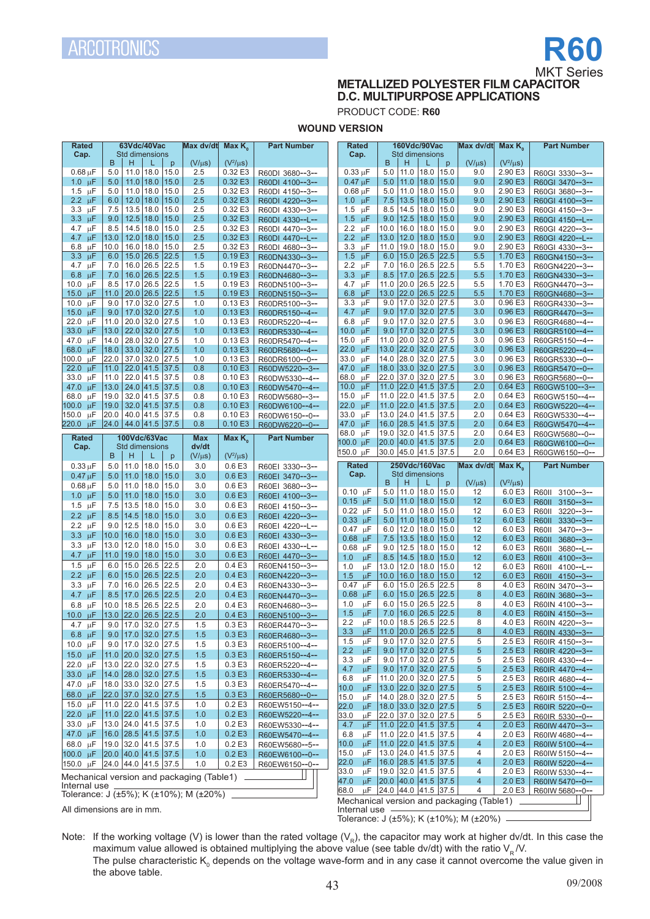# **R60 MKT Series**

# **METALLIZED POLYESTER FILM CAPACITOR D.C. MULTIPURPOSE APPLICATIONS**

PRODUCT CODE: **R60**

**WOUND VERSION**

| $(V^2/\mu s)$<br>B<br>н<br>$(V/\mu s)$<br>$(V^2/\mu s)$<br>B<br>н<br>$(V/\mu s)$<br>L<br>p<br>$\mathsf{p}$<br>$0.68 \mu F$<br>$11.0$   18.0<br>2.5<br>0.32 E3<br>11.0<br>18.0<br>2.90 E3<br>5.0<br>15.0<br>R60DI 3680--3--<br>$0.33 \mu F$<br>5.0<br>15.0<br>9.0<br>R60GI 3330--3--<br>0.32 E3<br>2.90 E3<br>$11.0$   18.0<br>15.0<br>2.5<br>$0.47 \mu F$<br>18.0<br>15.0<br>1.0 $\mu$ F<br>5.0<br>5.0<br>11.0<br>9.0<br>R60DI 4100--3--<br>R60GI 3470--3--<br>11.0<br>18.0<br>15.0<br>2.5<br>0.32 E3<br>11.0<br>18.0<br>15.0<br>9.0<br>2.90 E3<br>1.5 $\mu$ F<br>5.0<br>$0.68 \mu F$<br>5.0<br>R60DI 4150--3--<br>R60GI 3680--3--<br>$2.2 \text{ uF}$<br>$12.0$   18.0<br>15.0<br>2.5<br>0.32 E3<br>7.5<br>13.5<br>18.0<br>15.0<br>2.90 E3<br>6.0<br>1.0 $\mu$ F<br>9.0<br>R60DI 4220--3--<br>R60GI 4100--3--<br>13.5<br> 18.0<br>15.0<br>2.5<br>0.32 E3<br>8.5<br>14.5<br>18.0<br>15.0<br>2.90 E3<br>$3.3 \text{ }\mu\text{F}$<br>7.5<br>1.5 $\mu$ F<br>9.0<br>R60DI 4330--3--<br>R60GI 4150--3--<br>0.32E3<br>9.0<br>12.5<br>18.0<br>15.0<br>2.5<br>1.5 $\mu$ F<br>9.0<br>12.5<br>18.0<br>15.0<br>9.0<br>2.90 E3<br>$3.3 \mu F$<br>R60DI 4330--L--<br>R60GI 4150--L--<br>0.32 E3<br>8.5<br>14.5<br>18.0<br>15.0<br>2.5<br>2.2 $\mu$ F<br>10.0<br>16.0<br>18.0<br>15.0<br>9.0<br>2.90 E3<br>4.7 $\mu$ F<br>R60DI 4470--3--<br>R60GI 4220--3--<br>13.0<br>$12.0$   18.0<br>15.0<br>2.5<br>0.32E3<br>2.2 $\mu$ F<br>13.0<br> 12.0<br>18.0<br>15.0<br>9.0<br>2.90 E3<br>4.7 $\mu$ F<br>R60DI 4470--L--<br>R60GI 4220--L--<br>18.0<br>0.32 E3<br>10.0<br>16.0<br>15.0<br>2.5<br>3.3<br>μF<br>11.0<br>19.0<br>18.0<br>15.0<br>9.0<br>2.90 E3<br>6.8<br>μF<br>R60DI 4680--3--<br>R60GI 4330--3--<br>15.0 26.5<br>22.5<br>0.19 E3<br>1.5<br>15.0<br>26.5<br>3.3<br>μF<br>6.0<br>1.5<br>$\mu$ F<br>6.0<br>22.5<br>5.5<br>1.70 E3<br>R60DN4330--3--<br>R60GN4150--3--<br>22.5<br>16.0<br>26.5<br>1.5<br>0.19 E3<br>2.2<br>7.0<br>16.0<br>26.5<br>22.5<br>5.5<br>1.70 E3<br>4.7 $\mu$ F<br>7.0<br>μF<br>R60DN4470--3--<br>R60GN4220--3--<br>22.5<br> 26.5<br>22.5<br>7.0<br>16.0 26.5<br>1.5<br>0.19E3<br>3.3<br>$\mu$ F<br>8.5<br>17.0<br>5.5<br>1.70 E3<br>$6.8 \mu F$<br>R60DN4680--3--<br>R60GN4330--3--<br>22.5<br>20.0<br>8.5<br>17.0<br>26.5<br>1.5<br>0.19 E3<br>4.7<br>$\mu\text{F}$<br>11.0<br>26.5<br>22.5<br>5.5<br>1.70 E3<br>10.0<br>μF<br>R60DN5100--3--<br>R60GN4470--3--<br> 22.0<br>11.0<br>20.0<br>26.5<br>22.5<br>1.5<br>0.19 E3<br>6.8<br>$\mu$ F<br>13.0<br>26.5<br> 22.5<br>5.5<br>1.70 E3<br>15.0 $\mu$ F<br>R60GN4680--3--<br>R60DN5150--3--<br> 32.0<br>27.5<br>1.0<br>17.0<br>32.0<br>27.5<br>3.0<br>0.96 E3<br>10.0<br>μF<br>9.0<br>17.0<br>0.13E<br>3.3<br>μF<br>9.0<br>R60GR4330--3--<br>R60DR5100--3--<br>$17.0$ 32.0<br>0.13E3<br>$9.0$   17.0<br>32.0<br>0.96 E3<br>15.0 $\mu$ F<br>27.5<br>1.0<br>4.7<br>$\mu$ F<br> 27.5<br>3.0<br>9.0<br>R60DR5150--4--<br>R60GR4470--3--<br>32.0<br>20.0<br>32.0<br>27.5<br>6.8<br>9.0<br>17.0<br>27.5<br>3.0<br>0.96 E3<br>22.0<br>1.0<br>0.13 E3<br>μF<br>μF<br>11.0<br>R60DR5220--4--<br>R60GR4680--4--<br>17.0<br>μF<br>9.0<br>32.0<br>27.5<br>3.0<br>0.96 E3<br>33.0 $\mu$ F<br>13.0<br>$22.0$ 32.0<br> 27.5<br>1.0<br>0.13E3<br>10.0<br>R60DR5330--4--<br>R60GR5100--4--<br>20.0<br>32.0<br>27.5<br>28.0 32.0<br>27.5<br>$\mu$ F<br>11.0<br>3.0<br>0.96 E3<br>14.0<br>1.0<br>0.13 E3<br>15.0<br>47.0 μF<br>R60GR5150--4--<br>R60DR5470--4--<br> 22.0<br>32.0<br>68.0<br>18.0<br>33.0<br> 32.0 <br>27.5<br>1.0<br>0.13E3<br>22.0<br>μF<br>13.0<br>27.5<br>3.0<br>0.96 E3<br>$\mu$ F<br>R60DR5680--4--<br>R60GR5220--4--<br>33.0<br>14.0<br> 28.0 <br>32.0<br>27.5<br>0.96 E3<br>22.0<br>37.0<br> 32.0 <br>27.5<br>1.0<br>0.13 E3<br>μF<br>3.0<br>100.0<br>μF<br>R60GR5330--0--<br>R60DR6100--0--<br>$18.0$ 33.0<br> 32.0 <br>0.10E3<br>47.0 µF<br> 27.5<br>3.0<br>0.96E3<br>22.0<br>$\mu$ F<br>11.0<br>22.0   41.5<br>37.5<br>0.8<br>R60GR5470--0--<br>R60DW5220--3--<br>32.0<br>0.96 E3<br>22.0 41.5<br>68.0<br>$\mu$ F<br>22.0 37.0<br>27.5<br>3.0<br>37.5<br>0.8<br>0.10E3<br>33.0<br>μF<br>11.0<br>R60DW5330--4--<br>R60GR5680--0--<br>13.0<br>24.0   41.5<br>37.5<br>0.10E3<br>$10.0 \text{ }\mu\text{F}$<br>11.0<br> 22.0<br>41.5<br>37.5<br>2.0<br>0.64E3<br>47.0 $\mu$ F<br>0.8<br>R60DW5470--4--<br>R60GW5100--3--<br>$11.0$ 22.0<br>32.0   41.5<br>37.5<br>0.10E3<br>$\mu$ F<br>41.5<br>37.5<br>2.0<br>0.64 E3<br>68.0<br>μF<br>19.0<br>0.8<br>15.0<br>R60DW5680--3--<br>R60GW5150--4--<br> 22.0<br>22.0<br>$\mu$ F<br>11.0<br>41.5<br>37.5<br>2.0<br>0.64E3<br>19.0<br>32.0   41.5<br>37.5<br>0.8<br>0.10E3<br>100.0<br>$\mu$ F<br>R60DW6100--4--<br>R60GW5220--4--<br>13.0 24.0<br>41.5<br>37.5<br>2.0<br>20.0<br>40.0 41.5<br>37.5<br>0.10E3<br>33.0<br>μF<br>0.64E3<br>150.0<br>μF<br>0.8<br>R60GW5330--4--<br>R60DW6150--0--<br> 28.5<br>24.0 44.0 41.5 37.5<br>47.0<br>$\mu$ F<br>16.0<br>41.5<br> 37.5<br>2.0<br>0.64E3<br>$\mu$ F<br>0.8<br>0.10E3<br>R60DW6220--0--<br>R60GW5470--4--<br>19.0 32.0<br>μF<br>41.5<br>37.5<br>2.0<br>0.64 E3<br>68.0<br>R60GW5680--0--<br>100Vdc/63Vac<br>Rated<br>Max<br>Max $K_{0}$<br><b>Part Number</b><br>100.0 uF<br>20.0 40.0 41.5 37.5<br>2.0<br>0.64E3<br>R60GW6100--0--<br>Cap.<br>Std dimensions<br>dv/dt<br>150.0 µF<br>30.0 45.0 41.5 37.5<br>2.0<br>0.64 E3<br>R60GW6150 -- 0--<br>B<br>$(V^2/\mu s)$<br>н<br>$(V/\mu s)$<br>L<br>p<br>250Vdc/160Vac<br>Max dv/dt<br>$0.33 \mu F$<br>11.0<br>18.0<br>15.0<br>3.0<br>0.6E3<br>Rated<br>Max $K_{0}$<br><b>Part Number</b><br>5.0<br>R60EI 3330--3--<br><b>Std dimensions</b><br>Cap.<br>18.0<br>$0.47 \mu F$<br>15.0<br>3.0<br>0.6E3<br>5.0<br>11.0<br>R60EI 3470--3--<br>$(V^2/\mu s)$<br>B<br>Н<br>$(V/\mu s)$<br>p<br>$0.68 \mu F$<br>11.0<br>18.0<br>15.0<br>0.6E3<br>5.0<br>3.0<br>R60EI 3680--3--<br>11.0<br>18.0<br>15.0<br>12<br>6.0 E3<br>$0.10 \mu F$<br>5.0<br>$3100 - 3 -$<br>R60II<br>18.0<br>15.0<br>3.0<br>0.6E3<br>1.0 $\mu$ F<br>5.0<br>11.0<br>R60EI 4100--3--<br>$0.15 \mu F$<br>11.0<br>18.0<br>15.0<br>12<br>6.0 E3<br>5.0<br>R60II 3150--3--<br>13.5<br>18.0<br>15.0<br>0.6E3<br>1.5 $\mu$ F<br>7.5<br>3.0<br>R60EI 4150--3--<br>$0.22 \mu F$<br>11.0<br>18.0<br>15.0<br>12<br>6.0 E3<br>5.0<br>R60II 3220--3--<br>18.0<br>2.2 $\mu$ F<br>8.5<br>14.5<br>15.0<br>3.0<br>0.6E3<br>R60EI 4220--3--<br>12<br>$0.33 \text{ }\mu\text{F}$<br>11.0<br>18.0<br>15.0<br>6.0 E3<br>5.0<br>R60II 3330--3--<br>18.0<br>2.2 $\mu$ F<br>9.0<br>12.5<br>15.0<br>0.6E3<br>3.0<br>R60EI 4220--L--<br>12.0<br>18.0<br>15.0<br>12<br>6.0 E3<br>$0.47 \mu F$<br>6.0<br>R60II 3470--3--<br>18.0<br>0.6E3<br>$3.3 \mu F$<br>10.0<br>16.0<br>15.0<br>3.0<br>R60EI 4330--3--<br>$0.68 \mu F$<br>7.5<br>13.5<br>18.0<br>15.0<br>12<br>6.0 E3<br>R60II 3680--3--<br>13.0<br>12.0<br>18.0<br>15.0<br>3.0<br>0.6E3<br>$3.3 \mu F$<br>R60EI 4330--L--<br>12.5<br>12<br>0.68<br>μF<br>9.0<br>18.0<br>15.0<br>6.0 E3<br>R60II 3680--L--<br>4.7 $\mu$ F<br>11.0<br>19.0<br>18.0<br>15.0<br>3.0<br>0.6E3<br>R60EI 4470--3--<br>8.5<br> 14.5<br>1.0<br>$\mu$ F<br>18.0<br>15.0<br>12<br>6.0 E3<br>R60II 4100--3--<br>15.0<br>26.5<br>22.5<br>2.0<br>0.4E3<br>1.5 $\mu$ F<br>6.0<br>R60EN4150--3--<br>1.0<br>μF<br>13.0<br>12.0<br>18.0<br>15.0<br>12<br>6.0 E3<br>R60II 4100--L--<br>26.5<br>22.5<br>$2.2 \text{ }\mu\text{F}$<br>6.0<br>15.0<br>2.0<br>0.4E3<br>1.5<br>μF<br>16.0<br>18.0<br>12<br>6.0 E3<br>R60EN4220--3--<br>10.0<br>15.0<br>R60II 4150--3--<br>26.5<br>22.5<br>3.3<br>16.0<br>2.0<br>0.4E3<br>0.47<br>μF<br>15.0<br>26.5<br>22.5<br>8<br>4.0 E3<br>μF<br>7.0<br>6.0<br>R60EN4330--3--<br>R60IN 3470--3--<br>22.5<br>-uF<br>6.0<br>15.0<br>26.5<br>22.5<br>8<br>4.0 E3<br>8.5<br>17.0<br>26.5<br>2.0<br>0.4E3<br>0.68<br>4.7<br>$\mu$ F<br>R60IN 3680--3--<br>R60EN4470--3--<br>μF<br>15.0<br>26.5<br>22.5<br>26.5<br>22.5<br>1.0<br>6.0<br>8<br>4.0 E3<br>10.0<br>18.5<br>2.0<br>0.4E3<br>R60IN 4100--3--<br>6.8<br>μF<br>R60EN4680--3--<br>μF<br>16.0<br>26.5<br>22.5<br>8<br>4.0 E3<br>1.5<br>7.0<br>R60IN 4150--3--<br>22.0<br> 26.5 <br>22.5<br>10.0 $\mu$ F<br>13.0<br>2.0<br>0.4E3<br>R60EN5100--3--<br>2.2<br>μF<br>10.0<br>18.5 26.5 22.5<br>8<br>4.0 E3<br>R60IN 4220--3--<br>$9.0$   17.0<br>32.0 27.5<br>1.5<br>4.7 $\mu$ F<br>0.3 E3<br>R60ER4470--3--<br>11.0 20.0 26.5 22.5<br>3.3<br>8<br>4.0 E3<br>$\mu$ F<br>R60IN 4330--3--<br>$9.0$   17.0   32.0   27.5<br>$6.8 \mu F$<br>1.5<br>0.3E3<br>R60ER4680--3--<br>9.0 17.0 32.0 27.5<br>5<br>1.5<br>μF<br>2.5 E3<br>R60IR 4150--3--<br>32.0 27.5<br>10.0 $\mu$ F<br>$9.0$   17.0<br>0.3 E3<br>1.5<br>R60ER5100--4--<br>9.0<br>$17.0$ 32.0 27.5<br>2.2<br>μF<br>5<br>2.5E3<br>R60IR 4220--3--<br>11.0 20.0 32.0 27.5<br>15.0 $\mu$ F<br>1.5<br>0.3E3<br>R60ER5150--4--<br>9.0   17.0   32.0   27.5<br>5<br>3.3<br>μF<br>2.5 E3<br>R60IR 4330--4--<br>32.0 27.5<br>13.0 22.0<br>0.3 E3<br>22.0 $\mu$ F<br>1.5<br>R60ER5220--4--<br>$9.0$ 17.0 32.0 27.5<br>4.7<br>μF<br>5<br>2.5E3<br>R60IR 4470--4--<br>14.0 28.0 32.0 27.5<br>33.0 $\mu$ F<br>1.5<br>0.3E3<br>R60ER5330--4--<br>11.0 20.0 32.0 27.5<br>6.8<br>μF<br>5<br>2.5 E3<br>R60IR 4680--4--<br>18.0 33.0<br>32.0 27.5<br>47.0 µF<br>1.5<br>0.3 E3<br>R60ER5470--4--<br>13.0 22.0 32.0 27.5<br>10.0<br>$\mu$ F<br>5<br>2.5E3<br>R60IR 5100--4--<br>22.0 37.0 32.0 27.5<br>68.0 $\mu$ F<br>1.5<br>0.3E3<br>R60ER5680--0--<br>14.0 28.0<br>32.0 27.5<br>15.0<br>μF<br>5<br>2.5 E3<br>R60IR 5150--4--<br>11.0 $ 22.0$<br>41.5 37.5<br>15.0 µF<br>1.0<br>0.2E3<br>R60EW5150--4--<br>22.0<br>18.0 33.0 32.0 27.5<br>5<br>$\mu$ F<br>2.5E3<br>R60IR 5220--0--<br>22.0 µF<br>11.0 22.0 41.5 37.5<br>0.2E3<br>1.0<br>R60EW5220--4--<br>33.0<br>μF<br>22.0 37.0 32.0 27.5<br>5<br>2.5 E3<br>R60IR 5330--0--<br>41.5 37.5<br>$13.0$ 24.0<br>0.2E<br>33.0 µF<br>1.0<br>11.0 22.0 41.5 37.5<br>R60EW5330--4--<br>4.7<br>$\mu$ F<br>$\overline{4}$<br>2.0 E3<br>R60IW 4470--3--<br>47.0 µF<br>16.0 28.5 41.5 37.5<br>0.2E3<br>11.0 22.0 41.5 37.5<br>1.0<br>6.8<br>μF<br>4<br>2.0E3<br>R60EW5470--4--<br>R60IW 4680--4--<br>19.0 32.0 41.5 37.5<br>11.0 22.0 41.5 37.5<br>0.2E<br>10.0<br>2.0E3<br>68.0 µF<br>1.0<br>μF<br>4<br>R60IW 5100--4--<br>R60EW5680--5--<br>13.0 24.0 41.5 37.5<br>15.0<br>μF<br>4<br>2.0 E3<br>100.0 µF<br>20.0 40.0 41.5 37.5<br>0.2E3<br>R60IW 5150--4--<br>1.0<br>R60EW6100--0--<br>16.0 28.5 41.5 37.5<br> 22.0 <br>$\mu$ F<br>$\overline{4}$<br>2.0E3<br>R60IW 5220--4--<br>24.0 44.0 41.5 37.5<br>0.2E3<br>1.0<br>R60EW6150--0--<br>19.0 32.0 41.5 37.5<br>33.0<br>$\mu$ F<br>$\overline{4}$<br>2.0 E3<br>R60IW 5330--4--<br>Mechanical version and packaging (Table1)<br>47.0<br>$\mu$ F<br>$\vert$ 20.0 $\vert$ 40.0 $\vert$ 41.5 $\vert$ 37.5<br>4<br>2.0 E3<br>R60IW 5470--0--<br>Internal use<br>μF 24.0 44.0 41.5 37.5<br>4<br>2.0E<br>68.0<br>R60IW 5680--0--<br>Tolerance: J (±5%); K (±10%); M (±20%)<br>Mechanical version and packaging (Table1) | Rated<br>Cap. | 63Vdc/40Vac<br>Std dimensions | Max dv/dt<br>Max $K_{0}$ | <b>Part Number</b> | Rated<br>Cap. | 160Vdc/90Vac<br><b>Std dimensions</b> | Max dv/dt | Max $K_{\alpha}$ | <b>Part Number</b> |
|--------------------------------------------------------------------------------------------------------------------------------------------------------------------------------------------------------------------------------------------------------------------------------------------------------------------------------------------------------------------------------------------------------------------------------------------------------------------------------------------------------------------------------------------------------------------------------------------------------------------------------------------------------------------------------------------------------------------------------------------------------------------------------------------------------------------------------------------------------------------------------------------------------------------------------------------------------------------------------------------------------------------------------------------------------------------------------------------------------------------------------------------------------------------------------------------------------------------------------------------------------------------------------------------------------------------------------------------------------------------------------------------------------------------------------------------------------------------------------------------------------------------------------------------------------------------------------------------------------------------------------------------------------------------------------------------------------------------------------------------------------------------------------------------------------------------------------------------------------------------------------------------------------------------------------------------------------------------------------------------------------------------------------------------------------------------------------------------------------------------------------------------------------------------------------------------------------------------------------------------------------------------------------------------------------------------------------------------------------------------------------------------------------------------------------------------------------------------------------------------------------------------------------------------------------------------------------------------------------------------------------------------------------------------------------------------------------------------------------------------------------------------------------------------------------------------------------------------------------------------------------------------------------------------------------------------------------------------------------------------------------------------------------------------------------------------------------------------------------------------------------------------------------------------------------------------------------------------------------------------------------------------------------------------------------------------------------------------------------------------------------------------------------------------------------------------------------------------------------------------------------------------------------------------------------------------------------------------------------------------------------------------------------------------------------------------------------------------------------------------------------------------------------------------------------------------------------------------------------------------------------------------------------------------------------------------------------------------------------------------------------------------------------------------------------------------------------------------------------------------------------------------------------------------------------------------------------------------------------------------------------------------------------------------------------------------------------------------------------------------------------------------------------------------------------------------------------------------------------------------------------------------------------------------------------------------------------------------------------------------------------------------------------------------------------------------------------------------------------------------------------------------------------------------------------------------------------------------------------------------------------------------------------------------------------------------------------------------------------------------------------------------------------------------------------------------------------------------------------------------------------------------------------------------------------------------------------------------------------------------------------------------------------------------------------------------------------------------------------------------------------------------------------------------------------------------------------------------------------------------------------------------------------------------------------------------------------------------------------------------------------------------------------------------------------------------------------------------------------------------------------------------------------------------------------------------------------------------------------------------------------------------------------------------------------------------------------------------------------------------------------------------------------------------------------------------------------------------------------------------------------------------------------------------------------------------------------------------------------------------------------------------------------------------------------------------------------------------------------------------------------------------------------------------------------------------------------------------------------------------------------------------------------------------------------------------------------------------------------------------------------------------------------------------------------------------------------------------------------------------------------------------------------------------------------------------------------------------------------------------------------------------------------------------------------------------------------------------------------------------------------------------------------------------------------------------------------------------------------------------------------------------------------------------------------------------------------------------------------------------------------------------------------------------------------------------------------------------------------------------------------------------------------------------------------------------------------------------------------------------------------------------------------------------------------------------------------------------------------------------------------------------------------------------------------------------------------------------------------------------------------------------------------------------------------------------------------------------------------------------------------------------------------------------------------------------------------------------------------------------------------------------------------------------------------------------------------------------------------------------------------------------------------------------------------------------------------------------------------------------------------------------------------------------------------------------------------------------------------------------------------------------------------------------------------------------------------------------------------------------------------------------------------------------------------------------------------------------------------------------------------------------------------------------------------------------------------------------------------------------------------------------------------------------------------------------------------------------------------------------------------------------------------------------------------------------------------------------------------------------------------------------------------------------------------------------------------------------------------------------------------------------------------------------------------------------------------------------------------------------------------------------------------------------------------------------------------------------------------------------------------------------------------------------------------------------------------------------------------------------------------------------------------------------------------------------------------------------------------------------------------------------------------------------------------------------------------------------------------------------------------------------------------------------------------------------------------------------------------------------------------------------------------------------------------------------------------------------------------------------------------------------------------------------------------------------------------------------------------------------------------------------------------------------------------------------------------------------------------------------------------------------------------------------------------------------------------------------------------------------------------------------------------------------------------------------------------------------------------------------------------------------------------------------------------------------------------------------------------------------------------------------------------------------------------------------------------------------------------------------------------------------------------------------------------------------------------------------------------------------------------------------|---------------|-------------------------------|--------------------------|--------------------|---------------|---------------------------------------|-----------|------------------|--------------------|
|                                                                                                                                                                                                                                                                                                                                                                                                                                                                                                                                                                                                                                                                                                                                                                                                                                                                                                                                                                                                                                                                                                                                                                                                                                                                                                                                                                                                                                                                                                                                                                                                                                                                                                                                                                                                                                                                                                                                                                                                                                                                                                                                                                                                                                                                                                                                                                                                                                                                                                                                                                                                                                                                                                                                                                                                                                                                                                                                                                                                                                                                                                                                                                                                                                                                                                                                                                                                                                                                                                                                                                                                                                                                                                                                                                                                                                                                                                                                                                                                                                                                                                                                                                                                                                                                                                                                                                                                                                                                                                                                                                                                                                                                                                                                                                                                                                                                                                                                                                                                                                                                                                                                                                                                                                                                                                                                                                                                                                                                                                                                                                                                                                                                                                                                                                                                                                                                                                                                                                                                                                                                                                                                                                                                                                                                                                                                                                                                                                                                                                                                                                                                                                                                                                                                                                                                                                                                                                                                                                                                                                                                                                                                                                                                                                                                                                                                                                                                                                                                                                                                                                                                                                                                                                                                                                                                                                                                                                                                                                                                                                                                                                                                                                                                                                                                                                                                                                                                                                                                                                                                                                                                                                                                                                                                                                                                                                                                                                                                                                                                                                                                                                                                                                                                                                                                                                                                                                                                                                                                                                                                                                                                                                                                                                                                                                                                                                                                                                                                                                                                                                                                                                                                                                                                                                                                                                                                                                                                                                                                                                                                                                                                                                                                                                                                                                                                                                                                                            |               |                               |                          |                    |               |                                       |           |                  |                    |
|                                                                                                                                                                                                                                                                                                                                                                                                                                                                                                                                                                                                                                                                                                                                                                                                                                                                                                                                                                                                                                                                                                                                                                                                                                                                                                                                                                                                                                                                                                                                                                                                                                                                                                                                                                                                                                                                                                                                                                                                                                                                                                                                                                                                                                                                                                                                                                                                                                                                                                                                                                                                                                                                                                                                                                                                                                                                                                                                                                                                                                                                                                                                                                                                                                                                                                                                                                                                                                                                                                                                                                                                                                                                                                                                                                                                                                                                                                                                                                                                                                                                                                                                                                                                                                                                                                                                                                                                                                                                                                                                                                                                                                                                                                                                                                                                                                                                                                                                                                                                                                                                                                                                                                                                                                                                                                                                                                                                                                                                                                                                                                                                                                                                                                                                                                                                                                                                                                                                                                                                                                                                                                                                                                                                                                                                                                                                                                                                                                                                                                                                                                                                                                                                                                                                                                                                                                                                                                                                                                                                                                                                                                                                                                                                                                                                                                                                                                                                                                                                                                                                                                                                                                                                                                                                                                                                                                                                                                                                                                                                                                                                                                                                                                                                                                                                                                                                                                                                                                                                                                                                                                                                                                                                                                                                                                                                                                                                                                                                                                                                                                                                                                                                                                                                                                                                                                                                                                                                                                                                                                                                                                                                                                                                                                                                                                                                                                                                                                                                                                                                                                                                                                                                                                                                                                                                                                                                                                                                                                                                                                                                                                                                                                                                                                                                                                                                                                                                                            |               |                               |                          |                    |               |                                       |           |                  |                    |
|                                                                                                                                                                                                                                                                                                                                                                                                                                                                                                                                                                                                                                                                                                                                                                                                                                                                                                                                                                                                                                                                                                                                                                                                                                                                                                                                                                                                                                                                                                                                                                                                                                                                                                                                                                                                                                                                                                                                                                                                                                                                                                                                                                                                                                                                                                                                                                                                                                                                                                                                                                                                                                                                                                                                                                                                                                                                                                                                                                                                                                                                                                                                                                                                                                                                                                                                                                                                                                                                                                                                                                                                                                                                                                                                                                                                                                                                                                                                                                                                                                                                                                                                                                                                                                                                                                                                                                                                                                                                                                                                                                                                                                                                                                                                                                                                                                                                                                                                                                                                                                                                                                                                                                                                                                                                                                                                                                                                                                                                                                                                                                                                                                                                                                                                                                                                                                                                                                                                                                                                                                                                                                                                                                                                                                                                                                                                                                                                                                                                                                                                                                                                                                                                                                                                                                                                                                                                                                                                                                                                                                                                                                                                                                                                                                                                                                                                                                                                                                                                                                                                                                                                                                                                                                                                                                                                                                                                                                                                                                                                                                                                                                                                                                                                                                                                                                                                                                                                                                                                                                                                                                                                                                                                                                                                                                                                                                                                                                                                                                                                                                                                                                                                                                                                                                                                                                                                                                                                                                                                                                                                                                                                                                                                                                                                                                                                                                                                                                                                                                                                                                                                                                                                                                                                                                                                                                                                                                                                                                                                                                                                                                                                                                                                                                                                                                                                                                                                                            |               |                               |                          |                    |               |                                       |           |                  |                    |
|                                                                                                                                                                                                                                                                                                                                                                                                                                                                                                                                                                                                                                                                                                                                                                                                                                                                                                                                                                                                                                                                                                                                                                                                                                                                                                                                                                                                                                                                                                                                                                                                                                                                                                                                                                                                                                                                                                                                                                                                                                                                                                                                                                                                                                                                                                                                                                                                                                                                                                                                                                                                                                                                                                                                                                                                                                                                                                                                                                                                                                                                                                                                                                                                                                                                                                                                                                                                                                                                                                                                                                                                                                                                                                                                                                                                                                                                                                                                                                                                                                                                                                                                                                                                                                                                                                                                                                                                                                                                                                                                                                                                                                                                                                                                                                                                                                                                                                                                                                                                                                                                                                                                                                                                                                                                                                                                                                                                                                                                                                                                                                                                                                                                                                                                                                                                                                                                                                                                                                                                                                                                                                                                                                                                                                                                                                                                                                                                                                                                                                                                                                                                                                                                                                                                                                                                                                                                                                                                                                                                                                                                                                                                                                                                                                                                                                                                                                                                                                                                                                                                                                                                                                                                                                                                                                                                                                                                                                                                                                                                                                                                                                                                                                                                                                                                                                                                                                                                                                                                                                                                                                                                                                                                                                                                                                                                                                                                                                                                                                                                                                                                                                                                                                                                                                                                                                                                                                                                                                                                                                                                                                                                                                                                                                                                                                                                                                                                                                                                                                                                                                                                                                                                                                                                                                                                                                                                                                                                                                                                                                                                                                                                                                                                                                                                                                                                                                                                                            |               |                               |                          |                    |               |                                       |           |                  |                    |
|                                                                                                                                                                                                                                                                                                                                                                                                                                                                                                                                                                                                                                                                                                                                                                                                                                                                                                                                                                                                                                                                                                                                                                                                                                                                                                                                                                                                                                                                                                                                                                                                                                                                                                                                                                                                                                                                                                                                                                                                                                                                                                                                                                                                                                                                                                                                                                                                                                                                                                                                                                                                                                                                                                                                                                                                                                                                                                                                                                                                                                                                                                                                                                                                                                                                                                                                                                                                                                                                                                                                                                                                                                                                                                                                                                                                                                                                                                                                                                                                                                                                                                                                                                                                                                                                                                                                                                                                                                                                                                                                                                                                                                                                                                                                                                                                                                                                                                                                                                                                                                                                                                                                                                                                                                                                                                                                                                                                                                                                                                                                                                                                                                                                                                                                                                                                                                                                                                                                                                                                                                                                                                                                                                                                                                                                                                                                                                                                                                                                                                                                                                                                                                                                                                                                                                                                                                                                                                                                                                                                                                                                                                                                                                                                                                                                                                                                                                                                                                                                                                                                                                                                                                                                                                                                                                                                                                                                                                                                                                                                                                                                                                                                                                                                                                                                                                                                                                                                                                                                                                                                                                                                                                                                                                                                                                                                                                                                                                                                                                                                                                                                                                                                                                                                                                                                                                                                                                                                                                                                                                                                                                                                                                                                                                                                                                                                                                                                                                                                                                                                                                                                                                                                                                                                                                                                                                                                                                                                                                                                                                                                                                                                                                                                                                                                                                                                                                                                                            |               |                               |                          |                    |               |                                       |           |                  |                    |
|                                                                                                                                                                                                                                                                                                                                                                                                                                                                                                                                                                                                                                                                                                                                                                                                                                                                                                                                                                                                                                                                                                                                                                                                                                                                                                                                                                                                                                                                                                                                                                                                                                                                                                                                                                                                                                                                                                                                                                                                                                                                                                                                                                                                                                                                                                                                                                                                                                                                                                                                                                                                                                                                                                                                                                                                                                                                                                                                                                                                                                                                                                                                                                                                                                                                                                                                                                                                                                                                                                                                                                                                                                                                                                                                                                                                                                                                                                                                                                                                                                                                                                                                                                                                                                                                                                                                                                                                                                                                                                                                                                                                                                                                                                                                                                                                                                                                                                                                                                                                                                                                                                                                                                                                                                                                                                                                                                                                                                                                                                                                                                                                                                                                                                                                                                                                                                                                                                                                                                                                                                                                                                                                                                                                                                                                                                                                                                                                                                                                                                                                                                                                                                                                                                                                                                                                                                                                                                                                                                                                                                                                                                                                                                                                                                                                                                                                                                                                                                                                                                                                                                                                                                                                                                                                                                                                                                                                                                                                                                                                                                                                                                                                                                                                                                                                                                                                                                                                                                                                                                                                                                                                                                                                                                                                                                                                                                                                                                                                                                                                                                                                                                                                                                                                                                                                                                                                                                                                                                                                                                                                                                                                                                                                                                                                                                                                                                                                                                                                                                                                                                                                                                                                                                                                                                                                                                                                                                                                                                                                                                                                                                                                                                                                                                                                                                                                                                                                                            |               |                               |                          |                    |               |                                       |           |                  |                    |
|                                                                                                                                                                                                                                                                                                                                                                                                                                                                                                                                                                                                                                                                                                                                                                                                                                                                                                                                                                                                                                                                                                                                                                                                                                                                                                                                                                                                                                                                                                                                                                                                                                                                                                                                                                                                                                                                                                                                                                                                                                                                                                                                                                                                                                                                                                                                                                                                                                                                                                                                                                                                                                                                                                                                                                                                                                                                                                                                                                                                                                                                                                                                                                                                                                                                                                                                                                                                                                                                                                                                                                                                                                                                                                                                                                                                                                                                                                                                                                                                                                                                                                                                                                                                                                                                                                                                                                                                                                                                                                                                                                                                                                                                                                                                                                                                                                                                                                                                                                                                                                                                                                                                                                                                                                                                                                                                                                                                                                                                                                                                                                                                                                                                                                                                                                                                                                                                                                                                                                                                                                                                                                                                                                                                                                                                                                                                                                                                                                                                                                                                                                                                                                                                                                                                                                                                                                                                                                                                                                                                                                                                                                                                                                                                                                                                                                                                                                                                                                                                                                                                                                                                                                                                                                                                                                                                                                                                                                                                                                                                                                                                                                                                                                                                                                                                                                                                                                                                                                                                                                                                                                                                                                                                                                                                                                                                                                                                                                                                                                                                                                                                                                                                                                                                                                                                                                                                                                                                                                                                                                                                                                                                                                                                                                                                                                                                                                                                                                                                                                                                                                                                                                                                                                                                                                                                                                                                                                                                                                                                                                                                                                                                                                                                                                                                                                                                                                                                                            |               |                               |                          |                    |               |                                       |           |                  |                    |
|                                                                                                                                                                                                                                                                                                                                                                                                                                                                                                                                                                                                                                                                                                                                                                                                                                                                                                                                                                                                                                                                                                                                                                                                                                                                                                                                                                                                                                                                                                                                                                                                                                                                                                                                                                                                                                                                                                                                                                                                                                                                                                                                                                                                                                                                                                                                                                                                                                                                                                                                                                                                                                                                                                                                                                                                                                                                                                                                                                                                                                                                                                                                                                                                                                                                                                                                                                                                                                                                                                                                                                                                                                                                                                                                                                                                                                                                                                                                                                                                                                                                                                                                                                                                                                                                                                                                                                                                                                                                                                                                                                                                                                                                                                                                                                                                                                                                                                                                                                                                                                                                                                                                                                                                                                                                                                                                                                                                                                                                                                                                                                                                                                                                                                                                                                                                                                                                                                                                                                                                                                                                                                                                                                                                                                                                                                                                                                                                                                                                                                                                                                                                                                                                                                                                                                                                                                                                                                                                                                                                                                                                                                                                                                                                                                                                                                                                                                                                                                                                                                                                                                                                                                                                                                                                                                                                                                                                                                                                                                                                                                                                                                                                                                                                                                                                                                                                                                                                                                                                                                                                                                                                                                                                                                                                                                                                                                                                                                                                                                                                                                                                                                                                                                                                                                                                                                                                                                                                                                                                                                                                                                                                                                                                                                                                                                                                                                                                                                                                                                                                                                                                                                                                                                                                                                                                                                                                                                                                                                                                                                                                                                                                                                                                                                                                                                                                                                                                                            |               |                               |                          |                    |               |                                       |           |                  |                    |
|                                                                                                                                                                                                                                                                                                                                                                                                                                                                                                                                                                                                                                                                                                                                                                                                                                                                                                                                                                                                                                                                                                                                                                                                                                                                                                                                                                                                                                                                                                                                                                                                                                                                                                                                                                                                                                                                                                                                                                                                                                                                                                                                                                                                                                                                                                                                                                                                                                                                                                                                                                                                                                                                                                                                                                                                                                                                                                                                                                                                                                                                                                                                                                                                                                                                                                                                                                                                                                                                                                                                                                                                                                                                                                                                                                                                                                                                                                                                                                                                                                                                                                                                                                                                                                                                                                                                                                                                                                                                                                                                                                                                                                                                                                                                                                                                                                                                                                                                                                                                                                                                                                                                                                                                                                                                                                                                                                                                                                                                                                                                                                                                                                                                                                                                                                                                                                                                                                                                                                                                                                                                                                                                                                                                                                                                                                                                                                                                                                                                                                                                                                                                                                                                                                                                                                                                                                                                                                                                                                                                                                                                                                                                                                                                                                                                                                                                                                                                                                                                                                                                                                                                                                                                                                                                                                                                                                                                                                                                                                                                                                                                                                                                                                                                                                                                                                                                                                                                                                                                                                                                                                                                                                                                                                                                                                                                                                                                                                                                                                                                                                                                                                                                                                                                                                                                                                                                                                                                                                                                                                                                                                                                                                                                                                                                                                                                                                                                                                                                                                                                                                                                                                                                                                                                                                                                                                                                                                                                                                                                                                                                                                                                                                                                                                                                                                                                                                                                                            |               |                               |                          |                    |               |                                       |           |                  |                    |
|                                                                                                                                                                                                                                                                                                                                                                                                                                                                                                                                                                                                                                                                                                                                                                                                                                                                                                                                                                                                                                                                                                                                                                                                                                                                                                                                                                                                                                                                                                                                                                                                                                                                                                                                                                                                                                                                                                                                                                                                                                                                                                                                                                                                                                                                                                                                                                                                                                                                                                                                                                                                                                                                                                                                                                                                                                                                                                                                                                                                                                                                                                                                                                                                                                                                                                                                                                                                                                                                                                                                                                                                                                                                                                                                                                                                                                                                                                                                                                                                                                                                                                                                                                                                                                                                                                                                                                                                                                                                                                                                                                                                                                                                                                                                                                                                                                                                                                                                                                                                                                                                                                                                                                                                                                                                                                                                                                                                                                                                                                                                                                                                                                                                                                                                                                                                                                                                                                                                                                                                                                                                                                                                                                                                                                                                                                                                                                                                                                                                                                                                                                                                                                                                                                                                                                                                                                                                                                                                                                                                                                                                                                                                                                                                                                                                                                                                                                                                                                                                                                                                                                                                                                                                                                                                                                                                                                                                                                                                                                                                                                                                                                                                                                                                                                                                                                                                                                                                                                                                                                                                                                                                                                                                                                                                                                                                                                                                                                                                                                                                                                                                                                                                                                                                                                                                                                                                                                                                                                                                                                                                                                                                                                                                                                                                                                                                                                                                                                                                                                                                                                                                                                                                                                                                                                                                                                                                                                                                                                                                                                                                                                                                                                                                                                                                                                                                                                                                                            |               |                               |                          |                    |               |                                       |           |                  |                    |
|                                                                                                                                                                                                                                                                                                                                                                                                                                                                                                                                                                                                                                                                                                                                                                                                                                                                                                                                                                                                                                                                                                                                                                                                                                                                                                                                                                                                                                                                                                                                                                                                                                                                                                                                                                                                                                                                                                                                                                                                                                                                                                                                                                                                                                                                                                                                                                                                                                                                                                                                                                                                                                                                                                                                                                                                                                                                                                                                                                                                                                                                                                                                                                                                                                                                                                                                                                                                                                                                                                                                                                                                                                                                                                                                                                                                                                                                                                                                                                                                                                                                                                                                                                                                                                                                                                                                                                                                                                                                                                                                                                                                                                                                                                                                                                                                                                                                                                                                                                                                                                                                                                                                                                                                                                                                                                                                                                                                                                                                                                                                                                                                                                                                                                                                                                                                                                                                                                                                                                                                                                                                                                                                                                                                                                                                                                                                                                                                                                                                                                                                                                                                                                                                                                                                                                                                                                                                                                                                                                                                                                                                                                                                                                                                                                                                                                                                                                                                                                                                                                                                                                                                                                                                                                                                                                                                                                                                                                                                                                                                                                                                                                                                                                                                                                                                                                                                                                                                                                                                                                                                                                                                                                                                                                                                                                                                                                                                                                                                                                                                                                                                                                                                                                                                                                                                                                                                                                                                                                                                                                                                                                                                                                                                                                                                                                                                                                                                                                                                                                                                                                                                                                                                                                                                                                                                                                                                                                                                                                                                                                                                                                                                                                                                                                                                                                                                                                                                                            |               |                               |                          |                    |               |                                       |           |                  |                    |
|                                                                                                                                                                                                                                                                                                                                                                                                                                                                                                                                                                                                                                                                                                                                                                                                                                                                                                                                                                                                                                                                                                                                                                                                                                                                                                                                                                                                                                                                                                                                                                                                                                                                                                                                                                                                                                                                                                                                                                                                                                                                                                                                                                                                                                                                                                                                                                                                                                                                                                                                                                                                                                                                                                                                                                                                                                                                                                                                                                                                                                                                                                                                                                                                                                                                                                                                                                                                                                                                                                                                                                                                                                                                                                                                                                                                                                                                                                                                                                                                                                                                                                                                                                                                                                                                                                                                                                                                                                                                                                                                                                                                                                                                                                                                                                                                                                                                                                                                                                                                                                                                                                                                                                                                                                                                                                                                                                                                                                                                                                                                                                                                                                                                                                                                                                                                                                                                                                                                                                                                                                                                                                                                                                                                                                                                                                                                                                                                                                                                                                                                                                                                                                                                                                                                                                                                                                                                                                                                                                                                                                                                                                                                                                                                                                                                                                                                                                                                                                                                                                                                                                                                                                                                                                                                                                                                                                                                                                                                                                                                                                                                                                                                                                                                                                                                                                                                                                                                                                                                                                                                                                                                                                                                                                                                                                                                                                                                                                                                                                                                                                                                                                                                                                                                                                                                                                                                                                                                                                                                                                                                                                                                                                                                                                                                                                                                                                                                                                                                                                                                                                                                                                                                                                                                                                                                                                                                                                                                                                                                                                                                                                                                                                                                                                                                                                                                                                                                                            |               |                               |                          |                    |               |                                       |           |                  |                    |
|                                                                                                                                                                                                                                                                                                                                                                                                                                                                                                                                                                                                                                                                                                                                                                                                                                                                                                                                                                                                                                                                                                                                                                                                                                                                                                                                                                                                                                                                                                                                                                                                                                                                                                                                                                                                                                                                                                                                                                                                                                                                                                                                                                                                                                                                                                                                                                                                                                                                                                                                                                                                                                                                                                                                                                                                                                                                                                                                                                                                                                                                                                                                                                                                                                                                                                                                                                                                                                                                                                                                                                                                                                                                                                                                                                                                                                                                                                                                                                                                                                                                                                                                                                                                                                                                                                                                                                                                                                                                                                                                                                                                                                                                                                                                                                                                                                                                                                                                                                                                                                                                                                                                                                                                                                                                                                                                                                                                                                                                                                                                                                                                                                                                                                                                                                                                                                                                                                                                                                                                                                                                                                                                                                                                                                                                                                                                                                                                                                                                                                                                                                                                                                                                                                                                                                                                                                                                                                                                                                                                                                                                                                                                                                                                                                                                                                                                                                                                                                                                                                                                                                                                                                                                                                                                                                                                                                                                                                                                                                                                                                                                                                                                                                                                                                                                                                                                                                                                                                                                                                                                                                                                                                                                                                                                                                                                                                                                                                                                                                                                                                                                                                                                                                                                                                                                                                                                                                                                                                                                                                                                                                                                                                                                                                                                                                                                                                                                                                                                                                                                                                                                                                                                                                                                                                                                                                                                                                                                                                                                                                                                                                                                                                                                                                                                                                                                                                                                                            |               |                               |                          |                    |               |                                       |           |                  |                    |
|                                                                                                                                                                                                                                                                                                                                                                                                                                                                                                                                                                                                                                                                                                                                                                                                                                                                                                                                                                                                                                                                                                                                                                                                                                                                                                                                                                                                                                                                                                                                                                                                                                                                                                                                                                                                                                                                                                                                                                                                                                                                                                                                                                                                                                                                                                                                                                                                                                                                                                                                                                                                                                                                                                                                                                                                                                                                                                                                                                                                                                                                                                                                                                                                                                                                                                                                                                                                                                                                                                                                                                                                                                                                                                                                                                                                                                                                                                                                                                                                                                                                                                                                                                                                                                                                                                                                                                                                                                                                                                                                                                                                                                                                                                                                                                                                                                                                                                                                                                                                                                                                                                                                                                                                                                                                                                                                                                                                                                                                                                                                                                                                                                                                                                                                                                                                                                                                                                                                                                                                                                                                                                                                                                                                                                                                                                                                                                                                                                                                                                                                                                                                                                                                                                                                                                                                                                                                                                                                                                                                                                                                                                                                                                                                                                                                                                                                                                                                                                                                                                                                                                                                                                                                                                                                                                                                                                                                                                                                                                                                                                                                                                                                                                                                                                                                                                                                                                                                                                                                                                                                                                                                                                                                                                                                                                                                                                                                                                                                                                                                                                                                                                                                                                                                                                                                                                                                                                                                                                                                                                                                                                                                                                                                                                                                                                                                                                                                                                                                                                                                                                                                                                                                                                                                                                                                                                                                                                                                                                                                                                                                                                                                                                                                                                                                                                                                                                                                                            |               |                               |                          |                    |               |                                       |           |                  |                    |
|                                                                                                                                                                                                                                                                                                                                                                                                                                                                                                                                                                                                                                                                                                                                                                                                                                                                                                                                                                                                                                                                                                                                                                                                                                                                                                                                                                                                                                                                                                                                                                                                                                                                                                                                                                                                                                                                                                                                                                                                                                                                                                                                                                                                                                                                                                                                                                                                                                                                                                                                                                                                                                                                                                                                                                                                                                                                                                                                                                                                                                                                                                                                                                                                                                                                                                                                                                                                                                                                                                                                                                                                                                                                                                                                                                                                                                                                                                                                                                                                                                                                                                                                                                                                                                                                                                                                                                                                                                                                                                                                                                                                                                                                                                                                                                                                                                                                                                                                                                                                                                                                                                                                                                                                                                                                                                                                                                                                                                                                                                                                                                                                                                                                                                                                                                                                                                                                                                                                                                                                                                                                                                                                                                                                                                                                                                                                                                                                                                                                                                                                                                                                                                                                                                                                                                                                                                                                                                                                                                                                                                                                                                                                                                                                                                                                                                                                                                                                                                                                                                                                                                                                                                                                                                                                                                                                                                                                                                                                                                                                                                                                                                                                                                                                                                                                                                                                                                                                                                                                                                                                                                                                                                                                                                                                                                                                                                                                                                                                                                                                                                                                                                                                                                                                                                                                                                                                                                                                                                                                                                                                                                                                                                                                                                                                                                                                                                                                                                                                                                                                                                                                                                                                                                                                                                                                                                                                                                                                                                                                                                                                                                                                                                                                                                                                                                                                                                                                                            |               |                               |                          |                    |               |                                       |           |                  |                    |
|                                                                                                                                                                                                                                                                                                                                                                                                                                                                                                                                                                                                                                                                                                                                                                                                                                                                                                                                                                                                                                                                                                                                                                                                                                                                                                                                                                                                                                                                                                                                                                                                                                                                                                                                                                                                                                                                                                                                                                                                                                                                                                                                                                                                                                                                                                                                                                                                                                                                                                                                                                                                                                                                                                                                                                                                                                                                                                                                                                                                                                                                                                                                                                                                                                                                                                                                                                                                                                                                                                                                                                                                                                                                                                                                                                                                                                                                                                                                                                                                                                                                                                                                                                                                                                                                                                                                                                                                                                                                                                                                                                                                                                                                                                                                                                                                                                                                                                                                                                                                                                                                                                                                                                                                                                                                                                                                                                                                                                                                                                                                                                                                                                                                                                                                                                                                                                                                                                                                                                                                                                                                                                                                                                                                                                                                                                                                                                                                                                                                                                                                                                                                                                                                                                                                                                                                                                                                                                                                                                                                                                                                                                                                                                                                                                                                                                                                                                                                                                                                                                                                                                                                                                                                                                                                                                                                                                                                                                                                                                                                                                                                                                                                                                                                                                                                                                                                                                                                                                                                                                                                                                                                                                                                                                                                                                                                                                                                                                                                                                                                                                                                                                                                                                                                                                                                                                                                                                                                                                                                                                                                                                                                                                                                                                                                                                                                                                                                                                                                                                                                                                                                                                                                                                                                                                                                                                                                                                                                                                                                                                                                                                                                                                                                                                                                                                                                                                                                                            |               |                               |                          |                    |               |                                       |           |                  |                    |
|                                                                                                                                                                                                                                                                                                                                                                                                                                                                                                                                                                                                                                                                                                                                                                                                                                                                                                                                                                                                                                                                                                                                                                                                                                                                                                                                                                                                                                                                                                                                                                                                                                                                                                                                                                                                                                                                                                                                                                                                                                                                                                                                                                                                                                                                                                                                                                                                                                                                                                                                                                                                                                                                                                                                                                                                                                                                                                                                                                                                                                                                                                                                                                                                                                                                                                                                                                                                                                                                                                                                                                                                                                                                                                                                                                                                                                                                                                                                                                                                                                                                                                                                                                                                                                                                                                                                                                                                                                                                                                                                                                                                                                                                                                                                                                                                                                                                                                                                                                                                                                                                                                                                                                                                                                                                                                                                                                                                                                                                                                                                                                                                                                                                                                                                                                                                                                                                                                                                                                                                                                                                                                                                                                                                                                                                                                                                                                                                                                                                                                                                                                                                                                                                                                                                                                                                                                                                                                                                                                                                                                                                                                                                                                                                                                                                                                                                                                                                                                                                                                                                                                                                                                                                                                                                                                                                                                                                                                                                                                                                                                                                                                                                                                                                                                                                                                                                                                                                                                                                                                                                                                                                                                                                                                                                                                                                                                                                                                                                                                                                                                                                                                                                                                                                                                                                                                                                                                                                                                                                                                                                                                                                                                                                                                                                                                                                                                                                                                                                                                                                                                                                                                                                                                                                                                                                                                                                                                                                                                                                                                                                                                                                                                                                                                                                                                                                                                                                                            |               |                               |                          |                    |               |                                       |           |                  |                    |
|                                                                                                                                                                                                                                                                                                                                                                                                                                                                                                                                                                                                                                                                                                                                                                                                                                                                                                                                                                                                                                                                                                                                                                                                                                                                                                                                                                                                                                                                                                                                                                                                                                                                                                                                                                                                                                                                                                                                                                                                                                                                                                                                                                                                                                                                                                                                                                                                                                                                                                                                                                                                                                                                                                                                                                                                                                                                                                                                                                                                                                                                                                                                                                                                                                                                                                                                                                                                                                                                                                                                                                                                                                                                                                                                                                                                                                                                                                                                                                                                                                                                                                                                                                                                                                                                                                                                                                                                                                                                                                                                                                                                                                                                                                                                                                                                                                                                                                                                                                                                                                                                                                                                                                                                                                                                                                                                                                                                                                                                                                                                                                                                                                                                                                                                                                                                                                                                                                                                                                                                                                                                                                                                                                                                                                                                                                                                                                                                                                                                                                                                                                                                                                                                                                                                                                                                                                                                                                                                                                                                                                                                                                                                                                                                                                                                                                                                                                                                                                                                                                                                                                                                                                                                                                                                                                                                                                                                                                                                                                                                                                                                                                                                                                                                                                                                                                                                                                                                                                                                                                                                                                                                                                                                                                                                                                                                                                                                                                                                                                                                                                                                                                                                                                                                                                                                                                                                                                                                                                                                                                                                                                                                                                                                                                                                                                                                                                                                                                                                                                                                                                                                                                                                                                                                                                                                                                                                                                                                                                                                                                                                                                                                                                                                                                                                                                                                                                                                                            |               |                               |                          |                    |               |                                       |           |                  |                    |
|                                                                                                                                                                                                                                                                                                                                                                                                                                                                                                                                                                                                                                                                                                                                                                                                                                                                                                                                                                                                                                                                                                                                                                                                                                                                                                                                                                                                                                                                                                                                                                                                                                                                                                                                                                                                                                                                                                                                                                                                                                                                                                                                                                                                                                                                                                                                                                                                                                                                                                                                                                                                                                                                                                                                                                                                                                                                                                                                                                                                                                                                                                                                                                                                                                                                                                                                                                                                                                                                                                                                                                                                                                                                                                                                                                                                                                                                                                                                                                                                                                                                                                                                                                                                                                                                                                                                                                                                                                                                                                                                                                                                                                                                                                                                                                                                                                                                                                                                                                                                                                                                                                                                                                                                                                                                                                                                                                                                                                                                                                                                                                                                                                                                                                                                                                                                                                                                                                                                                                                                                                                                                                                                                                                                                                                                                                                                                                                                                                                                                                                                                                                                                                                                                                                                                                                                                                                                                                                                                                                                                                                                                                                                                                                                                                                                                                                                                                                                                                                                                                                                                                                                                                                                                                                                                                                                                                                                                                                                                                                                                                                                                                                                                                                                                                                                                                                                                                                                                                                                                                                                                                                                                                                                                                                                                                                                                                                                                                                                                                                                                                                                                                                                                                                                                                                                                                                                                                                                                                                                                                                                                                                                                                                                                                                                                                                                                                                                                                                                                                                                                                                                                                                                                                                                                                                                                                                                                                                                                                                                                                                                                                                                                                                                                                                                                                                                                                                                                            |               |                               |                          |                    |               |                                       |           |                  |                    |
|                                                                                                                                                                                                                                                                                                                                                                                                                                                                                                                                                                                                                                                                                                                                                                                                                                                                                                                                                                                                                                                                                                                                                                                                                                                                                                                                                                                                                                                                                                                                                                                                                                                                                                                                                                                                                                                                                                                                                                                                                                                                                                                                                                                                                                                                                                                                                                                                                                                                                                                                                                                                                                                                                                                                                                                                                                                                                                                                                                                                                                                                                                                                                                                                                                                                                                                                                                                                                                                                                                                                                                                                                                                                                                                                                                                                                                                                                                                                                                                                                                                                                                                                                                                                                                                                                                                                                                                                                                                                                                                                                                                                                                                                                                                                                                                                                                                                                                                                                                                                                                                                                                                                                                                                                                                                                                                                                                                                                                                                                                                                                                                                                                                                                                                                                                                                                                                                                                                                                                                                                                                                                                                                                                                                                                                                                                                                                                                                                                                                                                                                                                                                                                                                                                                                                                                                                                                                                                                                                                                                                                                                                                                                                                                                                                                                                                                                                                                                                                                                                                                                                                                                                                                                                                                                                                                                                                                                                                                                                                                                                                                                                                                                                                                                                                                                                                                                                                                                                                                                                                                                                                                                                                                                                                                                                                                                                                                                                                                                                                                                                                                                                                                                                                                                                                                                                                                                                                                                                                                                                                                                                                                                                                                                                                                                                                                                                                                                                                                                                                                                                                                                                                                                                                                                                                                                                                                                                                                                                                                                                                                                                                                                                                                                                                                                                                                                                                                                                            |               |                               |                          |                    |               |                                       |           |                  |                    |
|                                                                                                                                                                                                                                                                                                                                                                                                                                                                                                                                                                                                                                                                                                                                                                                                                                                                                                                                                                                                                                                                                                                                                                                                                                                                                                                                                                                                                                                                                                                                                                                                                                                                                                                                                                                                                                                                                                                                                                                                                                                                                                                                                                                                                                                                                                                                                                                                                                                                                                                                                                                                                                                                                                                                                                                                                                                                                                                                                                                                                                                                                                                                                                                                                                                                                                                                                                                                                                                                                                                                                                                                                                                                                                                                                                                                                                                                                                                                                                                                                                                                                                                                                                                                                                                                                                                                                                                                                                                                                                                                                                                                                                                                                                                                                                                                                                                                                                                                                                                                                                                                                                                                                                                                                                                                                                                                                                                                                                                                                                                                                                                                                                                                                                                                                                                                                                                                                                                                                                                                                                                                                                                                                                                                                                                                                                                                                                                                                                                                                                                                                                                                                                                                                                                                                                                                                                                                                                                                                                                                                                                                                                                                                                                                                                                                                                                                                                                                                                                                                                                                                                                                                                                                                                                                                                                                                                                                                                                                                                                                                                                                                                                                                                                                                                                                                                                                                                                                                                                                                                                                                                                                                                                                                                                                                                                                                                                                                                                                                                                                                                                                                                                                                                                                                                                                                                                                                                                                                                                                                                                                                                                                                                                                                                                                                                                                                                                                                                                                                                                                                                                                                                                                                                                                                                                                                                                                                                                                                                                                                                                                                                                                                                                                                                                                                                                                                                                                                            |               |                               |                          |                    |               |                                       |           |                  |                    |
|                                                                                                                                                                                                                                                                                                                                                                                                                                                                                                                                                                                                                                                                                                                                                                                                                                                                                                                                                                                                                                                                                                                                                                                                                                                                                                                                                                                                                                                                                                                                                                                                                                                                                                                                                                                                                                                                                                                                                                                                                                                                                                                                                                                                                                                                                                                                                                                                                                                                                                                                                                                                                                                                                                                                                                                                                                                                                                                                                                                                                                                                                                                                                                                                                                                                                                                                                                                                                                                                                                                                                                                                                                                                                                                                                                                                                                                                                                                                                                                                                                                                                                                                                                                                                                                                                                                                                                                                                                                                                                                                                                                                                                                                                                                                                                                                                                                                                                                                                                                                                                                                                                                                                                                                                                                                                                                                                                                                                                                                                                                                                                                                                                                                                                                                                                                                                                                                                                                                                                                                                                                                                                                                                                                                                                                                                                                                                                                                                                                                                                                                                                                                                                                                                                                                                                                                                                                                                                                                                                                                                                                                                                                                                                                                                                                                                                                                                                                                                                                                                                                                                                                                                                                                                                                                                                                                                                                                                                                                                                                                                                                                                                                                                                                                                                                                                                                                                                                                                                                                                                                                                                                                                                                                                                                                                                                                                                                                                                                                                                                                                                                                                                                                                                                                                                                                                                                                                                                                                                                                                                                                                                                                                                                                                                                                                                                                                                                                                                                                                                                                                                                                                                                                                                                                                                                                                                                                                                                                                                                                                                                                                                                                                                                                                                                                                                                                                                                                                            |               |                               |                          |                    |               |                                       |           |                  |                    |
|                                                                                                                                                                                                                                                                                                                                                                                                                                                                                                                                                                                                                                                                                                                                                                                                                                                                                                                                                                                                                                                                                                                                                                                                                                                                                                                                                                                                                                                                                                                                                                                                                                                                                                                                                                                                                                                                                                                                                                                                                                                                                                                                                                                                                                                                                                                                                                                                                                                                                                                                                                                                                                                                                                                                                                                                                                                                                                                                                                                                                                                                                                                                                                                                                                                                                                                                                                                                                                                                                                                                                                                                                                                                                                                                                                                                                                                                                                                                                                                                                                                                                                                                                                                                                                                                                                                                                                                                                                                                                                                                                                                                                                                                                                                                                                                                                                                                                                                                                                                                                                                                                                                                                                                                                                                                                                                                                                                                                                                                                                                                                                                                                                                                                                                                                                                                                                                                                                                                                                                                                                                                                                                                                                                                                                                                                                                                                                                                                                                                                                                                                                                                                                                                                                                                                                                                                                                                                                                                                                                                                                                                                                                                                                                                                                                                                                                                                                                                                                                                                                                                                                                                                                                                                                                                                                                                                                                                                                                                                                                                                                                                                                                                                                                                                                                                                                                                                                                                                                                                                                                                                                                                                                                                                                                                                                                                                                                                                                                                                                                                                                                                                                                                                                                                                                                                                                                                                                                                                                                                                                                                                                                                                                                                                                                                                                                                                                                                                                                                                                                                                                                                                                                                                                                                                                                                                                                                                                                                                                                                                                                                                                                                                                                                                                                                                                                                                                                                                            |               |                               |                          |                    |               |                                       |           |                  |                    |
|                                                                                                                                                                                                                                                                                                                                                                                                                                                                                                                                                                                                                                                                                                                                                                                                                                                                                                                                                                                                                                                                                                                                                                                                                                                                                                                                                                                                                                                                                                                                                                                                                                                                                                                                                                                                                                                                                                                                                                                                                                                                                                                                                                                                                                                                                                                                                                                                                                                                                                                                                                                                                                                                                                                                                                                                                                                                                                                                                                                                                                                                                                                                                                                                                                                                                                                                                                                                                                                                                                                                                                                                                                                                                                                                                                                                                                                                                                                                                                                                                                                                                                                                                                                                                                                                                                                                                                                                                                                                                                                                                                                                                                                                                                                                                                                                                                                                                                                                                                                                                                                                                                                                                                                                                                                                                                                                                                                                                                                                                                                                                                                                                                                                                                                                                                                                                                                                                                                                                                                                                                                                                                                                                                                                                                                                                                                                                                                                                                                                                                                                                                                                                                                                                                                                                                                                                                                                                                                                                                                                                                                                                                                                                                                                                                                                                                                                                                                                                                                                                                                                                                                                                                                                                                                                                                                                                                                                                                                                                                                                                                                                                                                                                                                                                                                                                                                                                                                                                                                                                                                                                                                                                                                                                                                                                                                                                                                                                                                                                                                                                                                                                                                                                                                                                                                                                                                                                                                                                                                                                                                                                                                                                                                                                                                                                                                                                                                                                                                                                                                                                                                                                                                                                                                                                                                                                                                                                                                                                                                                                                                                                                                                                                                                                                                                                                                                                                                                                            |               |                               |                          |                    |               |                                       |           |                  |                    |
|                                                                                                                                                                                                                                                                                                                                                                                                                                                                                                                                                                                                                                                                                                                                                                                                                                                                                                                                                                                                                                                                                                                                                                                                                                                                                                                                                                                                                                                                                                                                                                                                                                                                                                                                                                                                                                                                                                                                                                                                                                                                                                                                                                                                                                                                                                                                                                                                                                                                                                                                                                                                                                                                                                                                                                                                                                                                                                                                                                                                                                                                                                                                                                                                                                                                                                                                                                                                                                                                                                                                                                                                                                                                                                                                                                                                                                                                                                                                                                                                                                                                                                                                                                                                                                                                                                                                                                                                                                                                                                                                                                                                                                                                                                                                                                                                                                                                                                                                                                                                                                                                                                                                                                                                                                                                                                                                                                                                                                                                                                                                                                                                                                                                                                                                                                                                                                                                                                                                                                                                                                                                                                                                                                                                                                                                                                                                                                                                                                                                                                                                                                                                                                                                                                                                                                                                                                                                                                                                                                                                                                                                                                                                                                                                                                                                                                                                                                                                                                                                                                                                                                                                                                                                                                                                                                                                                                                                                                                                                                                                                                                                                                                                                                                                                                                                                                                                                                                                                                                                                                                                                                                                                                                                                                                                                                                                                                                                                                                                                                                                                                                                                                                                                                                                                                                                                                                                                                                                                                                                                                                                                                                                                                                                                                                                                                                                                                                                                                                                                                                                                                                                                                                                                                                                                                                                                                                                                                                                                                                                                                                                                                                                                                                                                                                                                                                                                                                                                            | 220.0         |                               |                          |                    |               |                                       |           |                  |                    |
|                                                                                                                                                                                                                                                                                                                                                                                                                                                                                                                                                                                                                                                                                                                                                                                                                                                                                                                                                                                                                                                                                                                                                                                                                                                                                                                                                                                                                                                                                                                                                                                                                                                                                                                                                                                                                                                                                                                                                                                                                                                                                                                                                                                                                                                                                                                                                                                                                                                                                                                                                                                                                                                                                                                                                                                                                                                                                                                                                                                                                                                                                                                                                                                                                                                                                                                                                                                                                                                                                                                                                                                                                                                                                                                                                                                                                                                                                                                                                                                                                                                                                                                                                                                                                                                                                                                                                                                                                                                                                                                                                                                                                                                                                                                                                                                                                                                                                                                                                                                                                                                                                                                                                                                                                                                                                                                                                                                                                                                                                                                                                                                                                                                                                                                                                                                                                                                                                                                                                                                                                                                                                                                                                                                                                                                                                                                                                                                                                                                                                                                                                                                                                                                                                                                                                                                                                                                                                                                                                                                                                                                                                                                                                                                                                                                                                                                                                                                                                                                                                                                                                                                                                                                                                                                                                                                                                                                                                                                                                                                                                                                                                                                                                                                                                                                                                                                                                                                                                                                                                                                                                                                                                                                                                                                                                                                                                                                                                                                                                                                                                                                                                                                                                                                                                                                                                                                                                                                                                                                                                                                                                                                                                                                                                                                                                                                                                                                                                                                                                                                                                                                                                                                                                                                                                                                                                                                                                                                                                                                                                                                                                                                                                                                                                                                                                                                                                                                                                            |               |                               |                          |                    |               |                                       |           |                  |                    |
|                                                                                                                                                                                                                                                                                                                                                                                                                                                                                                                                                                                                                                                                                                                                                                                                                                                                                                                                                                                                                                                                                                                                                                                                                                                                                                                                                                                                                                                                                                                                                                                                                                                                                                                                                                                                                                                                                                                                                                                                                                                                                                                                                                                                                                                                                                                                                                                                                                                                                                                                                                                                                                                                                                                                                                                                                                                                                                                                                                                                                                                                                                                                                                                                                                                                                                                                                                                                                                                                                                                                                                                                                                                                                                                                                                                                                                                                                                                                                                                                                                                                                                                                                                                                                                                                                                                                                                                                                                                                                                                                                                                                                                                                                                                                                                                                                                                                                                                                                                                                                                                                                                                                                                                                                                                                                                                                                                                                                                                                                                                                                                                                                                                                                                                                                                                                                                                                                                                                                                                                                                                                                                                                                                                                                                                                                                                                                                                                                                                                                                                                                                                                                                                                                                                                                                                                                                                                                                                                                                                                                                                                                                                                                                                                                                                                                                                                                                                                                                                                                                                                                                                                                                                                                                                                                                                                                                                                                                                                                                                                                                                                                                                                                                                                                                                                                                                                                                                                                                                                                                                                                                                                                                                                                                                                                                                                                                                                                                                                                                                                                                                                                                                                                                                                                                                                                                                                                                                                                                                                                                                                                                                                                                                                                                                                                                                                                                                                                                                                                                                                                                                                                                                                                                                                                                                                                                                                                                                                                                                                                                                                                                                                                                                                                                                                                                                                                                                                                            |               |                               |                          |                    |               |                                       |           |                  |                    |
|                                                                                                                                                                                                                                                                                                                                                                                                                                                                                                                                                                                                                                                                                                                                                                                                                                                                                                                                                                                                                                                                                                                                                                                                                                                                                                                                                                                                                                                                                                                                                                                                                                                                                                                                                                                                                                                                                                                                                                                                                                                                                                                                                                                                                                                                                                                                                                                                                                                                                                                                                                                                                                                                                                                                                                                                                                                                                                                                                                                                                                                                                                                                                                                                                                                                                                                                                                                                                                                                                                                                                                                                                                                                                                                                                                                                                                                                                                                                                                                                                                                                                                                                                                                                                                                                                                                                                                                                                                                                                                                                                                                                                                                                                                                                                                                                                                                                                                                                                                                                                                                                                                                                                                                                                                                                                                                                                                                                                                                                                                                                                                                                                                                                                                                                                                                                                                                                                                                                                                                                                                                                                                                                                                                                                                                                                                                                                                                                                                                                                                                                                                                                                                                                                                                                                                                                                                                                                                                                                                                                                                                                                                                                                                                                                                                                                                                                                                                                                                                                                                                                                                                                                                                                                                                                                                                                                                                                                                                                                                                                                                                                                                                                                                                                                                                                                                                                                                                                                                                                                                                                                                                                                                                                                                                                                                                                                                                                                                                                                                                                                                                                                                                                                                                                                                                                                                                                                                                                                                                                                                                                                                                                                                                                                                                                                                                                                                                                                                                                                                                                                                                                                                                                                                                                                                                                                                                                                                                                                                                                                                                                                                                                                                                                                                                                                                                                                                                                                            |               |                               |                          |                    |               |                                       |           |                  |                    |
|                                                                                                                                                                                                                                                                                                                                                                                                                                                                                                                                                                                                                                                                                                                                                                                                                                                                                                                                                                                                                                                                                                                                                                                                                                                                                                                                                                                                                                                                                                                                                                                                                                                                                                                                                                                                                                                                                                                                                                                                                                                                                                                                                                                                                                                                                                                                                                                                                                                                                                                                                                                                                                                                                                                                                                                                                                                                                                                                                                                                                                                                                                                                                                                                                                                                                                                                                                                                                                                                                                                                                                                                                                                                                                                                                                                                                                                                                                                                                                                                                                                                                                                                                                                                                                                                                                                                                                                                                                                                                                                                                                                                                                                                                                                                                                                                                                                                                                                                                                                                                                                                                                                                                                                                                                                                                                                                                                                                                                                                                                                                                                                                                                                                                                                                                                                                                                                                                                                                                                                                                                                                                                                                                                                                                                                                                                                                                                                                                                                                                                                                                                                                                                                                                                                                                                                                                                                                                                                                                                                                                                                                                                                                                                                                                                                                                                                                                                                                                                                                                                                                                                                                                                                                                                                                                                                                                                                                                                                                                                                                                                                                                                                                                                                                                                                                                                                                                                                                                                                                                                                                                                                                                                                                                                                                                                                                                                                                                                                                                                                                                                                                                                                                                                                                                                                                                                                                                                                                                                                                                                                                                                                                                                                                                                                                                                                                                                                                                                                                                                                                                                                                                                                                                                                                                                                                                                                                                                                                                                                                                                                                                                                                                                                                                                                                                                                                                                                                                            |               |                               |                          |                    |               |                                       |           |                  |                    |
|                                                                                                                                                                                                                                                                                                                                                                                                                                                                                                                                                                                                                                                                                                                                                                                                                                                                                                                                                                                                                                                                                                                                                                                                                                                                                                                                                                                                                                                                                                                                                                                                                                                                                                                                                                                                                                                                                                                                                                                                                                                                                                                                                                                                                                                                                                                                                                                                                                                                                                                                                                                                                                                                                                                                                                                                                                                                                                                                                                                                                                                                                                                                                                                                                                                                                                                                                                                                                                                                                                                                                                                                                                                                                                                                                                                                                                                                                                                                                                                                                                                                                                                                                                                                                                                                                                                                                                                                                                                                                                                                                                                                                                                                                                                                                                                                                                                                                                                                                                                                                                                                                                                                                                                                                                                                                                                                                                                                                                                                                                                                                                                                                                                                                                                                                                                                                                                                                                                                                                                                                                                                                                                                                                                                                                                                                                                                                                                                                                                                                                                                                                                                                                                                                                                                                                                                                                                                                                                                                                                                                                                                                                                                                                                                                                                                                                                                                                                                                                                                                                                                                                                                                                                                                                                                                                                                                                                                                                                                                                                                                                                                                                                                                                                                                                                                                                                                                                                                                                                                                                                                                                                                                                                                                                                                                                                                                                                                                                                                                                                                                                                                                                                                                                                                                                                                                                                                                                                                                                                                                                                                                                                                                                                                                                                                                                                                                                                                                                                                                                                                                                                                                                                                                                                                                                                                                                                                                                                                                                                                                                                                                                                                                                                                                                                                                                                                                                                                                            |               |                               |                          |                    |               |                                       |           |                  |                    |
|                                                                                                                                                                                                                                                                                                                                                                                                                                                                                                                                                                                                                                                                                                                                                                                                                                                                                                                                                                                                                                                                                                                                                                                                                                                                                                                                                                                                                                                                                                                                                                                                                                                                                                                                                                                                                                                                                                                                                                                                                                                                                                                                                                                                                                                                                                                                                                                                                                                                                                                                                                                                                                                                                                                                                                                                                                                                                                                                                                                                                                                                                                                                                                                                                                                                                                                                                                                                                                                                                                                                                                                                                                                                                                                                                                                                                                                                                                                                                                                                                                                                                                                                                                                                                                                                                                                                                                                                                                                                                                                                                                                                                                                                                                                                                                                                                                                                                                                                                                                                                                                                                                                                                                                                                                                                                                                                                                                                                                                                                                                                                                                                                                                                                                                                                                                                                                                                                                                                                                                                                                                                                                                                                                                                                                                                                                                                                                                                                                                                                                                                                                                                                                                                                                                                                                                                                                                                                                                                                                                                                                                                                                                                                                                                                                                                                                                                                                                                                                                                                                                                                                                                                                                                                                                                                                                                                                                                                                                                                                                                                                                                                                                                                                                                                                                                                                                                                                                                                                                                                                                                                                                                                                                                                                                                                                                                                                                                                                                                                                                                                                                                                                                                                                                                                                                                                                                                                                                                                                                                                                                                                                                                                                                                                                                                                                                                                                                                                                                                                                                                                                                                                                                                                                                                                                                                                                                                                                                                                                                                                                                                                                                                                                                                                                                                                                                                                                                                                            |               |                               |                          |                    |               |                                       |           |                  |                    |
|                                                                                                                                                                                                                                                                                                                                                                                                                                                                                                                                                                                                                                                                                                                                                                                                                                                                                                                                                                                                                                                                                                                                                                                                                                                                                                                                                                                                                                                                                                                                                                                                                                                                                                                                                                                                                                                                                                                                                                                                                                                                                                                                                                                                                                                                                                                                                                                                                                                                                                                                                                                                                                                                                                                                                                                                                                                                                                                                                                                                                                                                                                                                                                                                                                                                                                                                                                                                                                                                                                                                                                                                                                                                                                                                                                                                                                                                                                                                                                                                                                                                                                                                                                                                                                                                                                                                                                                                                                                                                                                                                                                                                                                                                                                                                                                                                                                                                                                                                                                                                                                                                                                                                                                                                                                                                                                                                                                                                                                                                                                                                                                                                                                                                                                                                                                                                                                                                                                                                                                                                                                                                                                                                                                                                                                                                                                                                                                                                                                                                                                                                                                                                                                                                                                                                                                                                                                                                                                                                                                                                                                                                                                                                                                                                                                                                                                                                                                                                                                                                                                                                                                                                                                                                                                                                                                                                                                                                                                                                                                                                                                                                                                                                                                                                                                                                                                                                                                                                                                                                                                                                                                                                                                                                                                                                                                                                                                                                                                                                                                                                                                                                                                                                                                                                                                                                                                                                                                                                                                                                                                                                                                                                                                                                                                                                                                                                                                                                                                                                                                                                                                                                                                                                                                                                                                                                                                                                                                                                                                                                                                                                                                                                                                                                                                                                                                                                                                                                            |               |                               |                          |                    |               |                                       |           |                  |                    |
|                                                                                                                                                                                                                                                                                                                                                                                                                                                                                                                                                                                                                                                                                                                                                                                                                                                                                                                                                                                                                                                                                                                                                                                                                                                                                                                                                                                                                                                                                                                                                                                                                                                                                                                                                                                                                                                                                                                                                                                                                                                                                                                                                                                                                                                                                                                                                                                                                                                                                                                                                                                                                                                                                                                                                                                                                                                                                                                                                                                                                                                                                                                                                                                                                                                                                                                                                                                                                                                                                                                                                                                                                                                                                                                                                                                                                                                                                                                                                                                                                                                                                                                                                                                                                                                                                                                                                                                                                                                                                                                                                                                                                                                                                                                                                                                                                                                                                                                                                                                                                                                                                                                                                                                                                                                                                                                                                                                                                                                                                                                                                                                                                                                                                                                                                                                                                                                                                                                                                                                                                                                                                                                                                                                                                                                                                                                                                                                                                                                                                                                                                                                                                                                                                                                                                                                                                                                                                                                                                                                                                                                                                                                                                                                                                                                                                                                                                                                                                                                                                                                                                                                                                                                                                                                                                                                                                                                                                                                                                                                                                                                                                                                                                                                                                                                                                                                                                                                                                                                                                                                                                                                                                                                                                                                                                                                                                                                                                                                                                                                                                                                                                                                                                                                                                                                                                                                                                                                                                                                                                                                                                                                                                                                                                                                                                                                                                                                                                                                                                                                                                                                                                                                                                                                                                                                                                                                                                                                                                                                                                                                                                                                                                                                                                                                                                                                                                                                                                            |               |                               |                          |                    |               |                                       |           |                  |                    |
|                                                                                                                                                                                                                                                                                                                                                                                                                                                                                                                                                                                                                                                                                                                                                                                                                                                                                                                                                                                                                                                                                                                                                                                                                                                                                                                                                                                                                                                                                                                                                                                                                                                                                                                                                                                                                                                                                                                                                                                                                                                                                                                                                                                                                                                                                                                                                                                                                                                                                                                                                                                                                                                                                                                                                                                                                                                                                                                                                                                                                                                                                                                                                                                                                                                                                                                                                                                                                                                                                                                                                                                                                                                                                                                                                                                                                                                                                                                                                                                                                                                                                                                                                                                                                                                                                                                                                                                                                                                                                                                                                                                                                                                                                                                                                                                                                                                                                                                                                                                                                                                                                                                                                                                                                                                                                                                                                                                                                                                                                                                                                                                                                                                                                                                                                                                                                                                                                                                                                                                                                                                                                                                                                                                                                                                                                                                                                                                                                                                                                                                                                                                                                                                                                                                                                                                                                                                                                                                                                                                                                                                                                                                                                                                                                                                                                                                                                                                                                                                                                                                                                                                                                                                                                                                                                                                                                                                                                                                                                                                                                                                                                                                                                                                                                                                                                                                                                                                                                                                                                                                                                                                                                                                                                                                                                                                                                                                                                                                                                                                                                                                                                                                                                                                                                                                                                                                                                                                                                                                                                                                                                                                                                                                                                                                                                                                                                                                                                                                                                                                                                                                                                                                                                                                                                                                                                                                                                                                                                                                                                                                                                                                                                                                                                                                                                                                                                                                                                            |               |                               |                          |                    |               |                                       |           |                  |                    |
|                                                                                                                                                                                                                                                                                                                                                                                                                                                                                                                                                                                                                                                                                                                                                                                                                                                                                                                                                                                                                                                                                                                                                                                                                                                                                                                                                                                                                                                                                                                                                                                                                                                                                                                                                                                                                                                                                                                                                                                                                                                                                                                                                                                                                                                                                                                                                                                                                                                                                                                                                                                                                                                                                                                                                                                                                                                                                                                                                                                                                                                                                                                                                                                                                                                                                                                                                                                                                                                                                                                                                                                                                                                                                                                                                                                                                                                                                                                                                                                                                                                                                                                                                                                                                                                                                                                                                                                                                                                                                                                                                                                                                                                                                                                                                                                                                                                                                                                                                                                                                                                                                                                                                                                                                                                                                                                                                                                                                                                                                                                                                                                                                                                                                                                                                                                                                                                                                                                                                                                                                                                                                                                                                                                                                                                                                                                                                                                                                                                                                                                                                                                                                                                                                                                                                                                                                                                                                                                                                                                                                                                                                                                                                                                                                                                                                                                                                                                                                                                                                                                                                                                                                                                                                                                                                                                                                                                                                                                                                                                                                                                                                                                                                                                                                                                                                                                                                                                                                                                                                                                                                                                                                                                                                                                                                                                                                                                                                                                                                                                                                                                                                                                                                                                                                                                                                                                                                                                                                                                                                                                                                                                                                                                                                                                                                                                                                                                                                                                                                                                                                                                                                                                                                                                                                                                                                                                                                                                                                                                                                                                                                                                                                                                                                                                                                                                                                                                                                            |               |                               |                          |                    |               |                                       |           |                  |                    |
|                                                                                                                                                                                                                                                                                                                                                                                                                                                                                                                                                                                                                                                                                                                                                                                                                                                                                                                                                                                                                                                                                                                                                                                                                                                                                                                                                                                                                                                                                                                                                                                                                                                                                                                                                                                                                                                                                                                                                                                                                                                                                                                                                                                                                                                                                                                                                                                                                                                                                                                                                                                                                                                                                                                                                                                                                                                                                                                                                                                                                                                                                                                                                                                                                                                                                                                                                                                                                                                                                                                                                                                                                                                                                                                                                                                                                                                                                                                                                                                                                                                                                                                                                                                                                                                                                                                                                                                                                                                                                                                                                                                                                                                                                                                                                                                                                                                                                                                                                                                                                                                                                                                                                                                                                                                                                                                                                                                                                                                                                                                                                                                                                                                                                                                                                                                                                                                                                                                                                                                                                                                                                                                                                                                                                                                                                                                                                                                                                                                                                                                                                                                                                                                                                                                                                                                                                                                                                                                                                                                                                                                                                                                                                                                                                                                                                                                                                                                                                                                                                                                                                                                                                                                                                                                                                                                                                                                                                                                                                                                                                                                                                                                                                                                                                                                                                                                                                                                                                                                                                                                                                                                                                                                                                                                                                                                                                                                                                                                                                                                                                                                                                                                                                                                                                                                                                                                                                                                                                                                                                                                                                                                                                                                                                                                                                                                                                                                                                                                                                                                                                                                                                                                                                                                                                                                                                                                                                                                                                                                                                                                                                                                                                                                                                                                                                                                                                                                                                            |               |                               |                          |                    |               |                                       |           |                  |                    |
|                                                                                                                                                                                                                                                                                                                                                                                                                                                                                                                                                                                                                                                                                                                                                                                                                                                                                                                                                                                                                                                                                                                                                                                                                                                                                                                                                                                                                                                                                                                                                                                                                                                                                                                                                                                                                                                                                                                                                                                                                                                                                                                                                                                                                                                                                                                                                                                                                                                                                                                                                                                                                                                                                                                                                                                                                                                                                                                                                                                                                                                                                                                                                                                                                                                                                                                                                                                                                                                                                                                                                                                                                                                                                                                                                                                                                                                                                                                                                                                                                                                                                                                                                                                                                                                                                                                                                                                                                                                                                                                                                                                                                                                                                                                                                                                                                                                                                                                                                                                                                                                                                                                                                                                                                                                                                                                                                                                                                                                                                                                                                                                                                                                                                                                                                                                                                                                                                                                                                                                                                                                                                                                                                                                                                                                                                                                                                                                                                                                                                                                                                                                                                                                                                                                                                                                                                                                                                                                                                                                                                                                                                                                                                                                                                                                                                                                                                                                                                                                                                                                                                                                                                                                                                                                                                                                                                                                                                                                                                                                                                                                                                                                                                                                                                                                                                                                                                                                                                                                                                                                                                                                                                                                                                                                                                                                                                                                                                                                                                                                                                                                                                                                                                                                                                                                                                                                                                                                                                                                                                                                                                                                                                                                                                                                                                                                                                                                                                                                                                                                                                                                                                                                                                                                                                                                                                                                                                                                                                                                                                                                                                                                                                                                                                                                                                                                                                                                                                            |               |                               |                          |                    |               |                                       |           |                  |                    |
|                                                                                                                                                                                                                                                                                                                                                                                                                                                                                                                                                                                                                                                                                                                                                                                                                                                                                                                                                                                                                                                                                                                                                                                                                                                                                                                                                                                                                                                                                                                                                                                                                                                                                                                                                                                                                                                                                                                                                                                                                                                                                                                                                                                                                                                                                                                                                                                                                                                                                                                                                                                                                                                                                                                                                                                                                                                                                                                                                                                                                                                                                                                                                                                                                                                                                                                                                                                                                                                                                                                                                                                                                                                                                                                                                                                                                                                                                                                                                                                                                                                                                                                                                                                                                                                                                                                                                                                                                                                                                                                                                                                                                                                                                                                                                                                                                                                                                                                                                                                                                                                                                                                                                                                                                                                                                                                                                                                                                                                                                                                                                                                                                                                                                                                                                                                                                                                                                                                                                                                                                                                                                                                                                                                                                                                                                                                                                                                                                                                                                                                                                                                                                                                                                                                                                                                                                                                                                                                                                                                                                                                                                                                                                                                                                                                                                                                                                                                                                                                                                                                                                                                                                                                                                                                                                                                                                                                                                                                                                                                                                                                                                                                                                                                                                                                                                                                                                                                                                                                                                                                                                                                                                                                                                                                                                                                                                                                                                                                                                                                                                                                                                                                                                                                                                                                                                                                                                                                                                                                                                                                                                                                                                                                                                                                                                                                                                                                                                                                                                                                                                                                                                                                                                                                                                                                                                                                                                                                                                                                                                                                                                                                                                                                                                                                                                                                                                                                                                            |               |                               |                          |                    |               |                                       |           |                  |                    |
|                                                                                                                                                                                                                                                                                                                                                                                                                                                                                                                                                                                                                                                                                                                                                                                                                                                                                                                                                                                                                                                                                                                                                                                                                                                                                                                                                                                                                                                                                                                                                                                                                                                                                                                                                                                                                                                                                                                                                                                                                                                                                                                                                                                                                                                                                                                                                                                                                                                                                                                                                                                                                                                                                                                                                                                                                                                                                                                                                                                                                                                                                                                                                                                                                                                                                                                                                                                                                                                                                                                                                                                                                                                                                                                                                                                                                                                                                                                                                                                                                                                                                                                                                                                                                                                                                                                                                                                                                                                                                                                                                                                                                                                                                                                                                                                                                                                                                                                                                                                                                                                                                                                                                                                                                                                                                                                                                                                                                                                                                                                                                                                                                                                                                                                                                                                                                                                                                                                                                                                                                                                                                                                                                                                                                                                                                                                                                                                                                                                                                                                                                                                                                                                                                                                                                                                                                                                                                                                                                                                                                                                                                                                                                                                                                                                                                                                                                                                                                                                                                                                                                                                                                                                                                                                                                                                                                                                                                                                                                                                                                                                                                                                                                                                                                                                                                                                                                                                                                                                                                                                                                                                                                                                                                                                                                                                                                                                                                                                                                                                                                                                                                                                                                                                                                                                                                                                                                                                                                                                                                                                                                                                                                                                                                                                                                                                                                                                                                                                                                                                                                                                                                                                                                                                                                                                                                                                                                                                                                                                                                                                                                                                                                                                                                                                                                                                                                                                                                            |               |                               |                          |                    |               |                                       |           |                  |                    |
|                                                                                                                                                                                                                                                                                                                                                                                                                                                                                                                                                                                                                                                                                                                                                                                                                                                                                                                                                                                                                                                                                                                                                                                                                                                                                                                                                                                                                                                                                                                                                                                                                                                                                                                                                                                                                                                                                                                                                                                                                                                                                                                                                                                                                                                                                                                                                                                                                                                                                                                                                                                                                                                                                                                                                                                                                                                                                                                                                                                                                                                                                                                                                                                                                                                                                                                                                                                                                                                                                                                                                                                                                                                                                                                                                                                                                                                                                                                                                                                                                                                                                                                                                                                                                                                                                                                                                                                                                                                                                                                                                                                                                                                                                                                                                                                                                                                                                                                                                                                                                                                                                                                                                                                                                                                                                                                                                                                                                                                                                                                                                                                                                                                                                                                                                                                                                                                                                                                                                                                                                                                                                                                                                                                                                                                                                                                                                                                                                                                                                                                                                                                                                                                                                                                                                                                                                                                                                                                                                                                                                                                                                                                                                                                                                                                                                                                                                                                                                                                                                                                                                                                                                                                                                                                                                                                                                                                                                                                                                                                                                                                                                                                                                                                                                                                                                                                                                                                                                                                                                                                                                                                                                                                                                                                                                                                                                                                                                                                                                                                                                                                                                                                                                                                                                                                                                                                                                                                                                                                                                                                                                                                                                                                                                                                                                                                                                                                                                                                                                                                                                                                                                                                                                                                                                                                                                                                                                                                                                                                                                                                                                                                                                                                                                                                                                                                                                                                                                            |               |                               |                          |                    |               |                                       |           |                  |                    |
|                                                                                                                                                                                                                                                                                                                                                                                                                                                                                                                                                                                                                                                                                                                                                                                                                                                                                                                                                                                                                                                                                                                                                                                                                                                                                                                                                                                                                                                                                                                                                                                                                                                                                                                                                                                                                                                                                                                                                                                                                                                                                                                                                                                                                                                                                                                                                                                                                                                                                                                                                                                                                                                                                                                                                                                                                                                                                                                                                                                                                                                                                                                                                                                                                                                                                                                                                                                                                                                                                                                                                                                                                                                                                                                                                                                                                                                                                                                                                                                                                                                                                                                                                                                                                                                                                                                                                                                                                                                                                                                                                                                                                                                                                                                                                                                                                                                                                                                                                                                                                                                                                                                                                                                                                                                                                                                                                                                                                                                                                                                                                                                                                                                                                                                                                                                                                                                                                                                                                                                                                                                                                                                                                                                                                                                                                                                                                                                                                                                                                                                                                                                                                                                                                                                                                                                                                                                                                                                                                                                                                                                                                                                                                                                                                                                                                                                                                                                                                                                                                                                                                                                                                                                                                                                                                                                                                                                                                                                                                                                                                                                                                                                                                                                                                                                                                                                                                                                                                                                                                                                                                                                                                                                                                                                                                                                                                                                                                                                                                                                                                                                                                                                                                                                                                                                                                                                                                                                                                                                                                                                                                                                                                                                                                                                                                                                                                                                                                                                                                                                                                                                                                                                                                                                                                                                                                                                                                                                                                                                                                                                                                                                                                                                                                                                                                                                                                                                                                            |               |                               |                          |                    |               |                                       |           |                  |                    |
|                                                                                                                                                                                                                                                                                                                                                                                                                                                                                                                                                                                                                                                                                                                                                                                                                                                                                                                                                                                                                                                                                                                                                                                                                                                                                                                                                                                                                                                                                                                                                                                                                                                                                                                                                                                                                                                                                                                                                                                                                                                                                                                                                                                                                                                                                                                                                                                                                                                                                                                                                                                                                                                                                                                                                                                                                                                                                                                                                                                                                                                                                                                                                                                                                                                                                                                                                                                                                                                                                                                                                                                                                                                                                                                                                                                                                                                                                                                                                                                                                                                                                                                                                                                                                                                                                                                                                                                                                                                                                                                                                                                                                                                                                                                                                                                                                                                                                                                                                                                                                                                                                                                                                                                                                                                                                                                                                                                                                                                                                                                                                                                                                                                                                                                                                                                                                                                                                                                                                                                                                                                                                                                                                                                                                                                                                                                                                                                                                                                                                                                                                                                                                                                                                                                                                                                                                                                                                                                                                                                                                                                                                                                                                                                                                                                                                                                                                                                                                                                                                                                                                                                                                                                                                                                                                                                                                                                                                                                                                                                                                                                                                                                                                                                                                                                                                                                                                                                                                                                                                                                                                                                                                                                                                                                                                                                                                                                                                                                                                                                                                                                                                                                                                                                                                                                                                                                                                                                                                                                                                                                                                                                                                                                                                                                                                                                                                                                                                                                                                                                                                                                                                                                                                                                                                                                                                                                                                                                                                                                                                                                                                                                                                                                                                                                                                                                                                                                                                            |               |                               |                          |                    |               |                                       |           |                  |                    |
|                                                                                                                                                                                                                                                                                                                                                                                                                                                                                                                                                                                                                                                                                                                                                                                                                                                                                                                                                                                                                                                                                                                                                                                                                                                                                                                                                                                                                                                                                                                                                                                                                                                                                                                                                                                                                                                                                                                                                                                                                                                                                                                                                                                                                                                                                                                                                                                                                                                                                                                                                                                                                                                                                                                                                                                                                                                                                                                                                                                                                                                                                                                                                                                                                                                                                                                                                                                                                                                                                                                                                                                                                                                                                                                                                                                                                                                                                                                                                                                                                                                                                                                                                                                                                                                                                                                                                                                                                                                                                                                                                                                                                                                                                                                                                                                                                                                                                                                                                                                                                                                                                                                                                                                                                                                                                                                                                                                                                                                                                                                                                                                                                                                                                                                                                                                                                                                                                                                                                                                                                                                                                                                                                                                                                                                                                                                                                                                                                                                                                                                                                                                                                                                                                                                                                                                                                                                                                                                                                                                                                                                                                                                                                                                                                                                                                                                                                                                                                                                                                                                                                                                                                                                                                                                                                                                                                                                                                                                                                                                                                                                                                                                                                                                                                                                                                                                                                                                                                                                                                                                                                                                                                                                                                                                                                                                                                                                                                                                                                                                                                                                                                                                                                                                                                                                                                                                                                                                                                                                                                                                                                                                                                                                                                                                                                                                                                                                                                                                                                                                                                                                                                                                                                                                                                                                                                                                                                                                                                                                                                                                                                                                                                                                                                                                                                                                                                                                                                            |               |                               |                          |                    |               |                                       |           |                  |                    |
|                                                                                                                                                                                                                                                                                                                                                                                                                                                                                                                                                                                                                                                                                                                                                                                                                                                                                                                                                                                                                                                                                                                                                                                                                                                                                                                                                                                                                                                                                                                                                                                                                                                                                                                                                                                                                                                                                                                                                                                                                                                                                                                                                                                                                                                                                                                                                                                                                                                                                                                                                                                                                                                                                                                                                                                                                                                                                                                                                                                                                                                                                                                                                                                                                                                                                                                                                                                                                                                                                                                                                                                                                                                                                                                                                                                                                                                                                                                                                                                                                                                                                                                                                                                                                                                                                                                                                                                                                                                                                                                                                                                                                                                                                                                                                                                                                                                                                                                                                                                                                                                                                                                                                                                                                                                                                                                                                                                                                                                                                                                                                                                                                                                                                                                                                                                                                                                                                                                                                                                                                                                                                                                                                                                                                                                                                                                                                                                                                                                                                                                                                                                                                                                                                                                                                                                                                                                                                                                                                                                                                                                                                                                                                                                                                                                                                                                                                                                                                                                                                                                                                                                                                                                                                                                                                                                                                                                                                                                                                                                                                                                                                                                                                                                                                                                                                                                                                                                                                                                                                                                                                                                                                                                                                                                                                                                                                                                                                                                                                                                                                                                                                                                                                                                                                                                                                                                                                                                                                                                                                                                                                                                                                                                                                                                                                                                                                                                                                                                                                                                                                                                                                                                                                                                                                                                                                                                                                                                                                                                                                                                                                                                                                                                                                                                                                                                                                                                                                            |               |                               |                          |                    |               |                                       |           |                  |                    |
|                                                                                                                                                                                                                                                                                                                                                                                                                                                                                                                                                                                                                                                                                                                                                                                                                                                                                                                                                                                                                                                                                                                                                                                                                                                                                                                                                                                                                                                                                                                                                                                                                                                                                                                                                                                                                                                                                                                                                                                                                                                                                                                                                                                                                                                                                                                                                                                                                                                                                                                                                                                                                                                                                                                                                                                                                                                                                                                                                                                                                                                                                                                                                                                                                                                                                                                                                                                                                                                                                                                                                                                                                                                                                                                                                                                                                                                                                                                                                                                                                                                                                                                                                                                                                                                                                                                                                                                                                                                                                                                                                                                                                                                                                                                                                                                                                                                                                                                                                                                                                                                                                                                                                                                                                                                                                                                                                                                                                                                                                                                                                                                                                                                                                                                                                                                                                                                                                                                                                                                                                                                                                                                                                                                                                                                                                                                                                                                                                                                                                                                                                                                                                                                                                                                                                                                                                                                                                                                                                                                                                                                                                                                                                                                                                                                                                                                                                                                                                                                                                                                                                                                                                                                                                                                                                                                                                                                                                                                                                                                                                                                                                                                                                                                                                                                                                                                                                                                                                                                                                                                                                                                                                                                                                                                                                                                                                                                                                                                                                                                                                                                                                                                                                                                                                                                                                                                                                                                                                                                                                                                                                                                                                                                                                                                                                                                                                                                                                                                                                                                                                                                                                                                                                                                                                                                                                                                                                                                                                                                                                                                                                                                                                                                                                                                                                                                                                                                                                            |               |                               |                          |                    |               |                                       |           |                  |                    |
|                                                                                                                                                                                                                                                                                                                                                                                                                                                                                                                                                                                                                                                                                                                                                                                                                                                                                                                                                                                                                                                                                                                                                                                                                                                                                                                                                                                                                                                                                                                                                                                                                                                                                                                                                                                                                                                                                                                                                                                                                                                                                                                                                                                                                                                                                                                                                                                                                                                                                                                                                                                                                                                                                                                                                                                                                                                                                                                                                                                                                                                                                                                                                                                                                                                                                                                                                                                                                                                                                                                                                                                                                                                                                                                                                                                                                                                                                                                                                                                                                                                                                                                                                                                                                                                                                                                                                                                                                                                                                                                                                                                                                                                                                                                                                                                                                                                                                                                                                                                                                                                                                                                                                                                                                                                                                                                                                                                                                                                                                                                                                                                                                                                                                                                                                                                                                                                                                                                                                                                                                                                                                                                                                                                                                                                                                                                                                                                                                                                                                                                                                                                                                                                                                                                                                                                                                                                                                                                                                                                                                                                                                                                                                                                                                                                                                                                                                                                                                                                                                                                                                                                                                                                                                                                                                                                                                                                                                                                                                                                                                                                                                                                                                                                                                                                                                                                                                                                                                                                                                                                                                                                                                                                                                                                                                                                                                                                                                                                                                                                                                                                                                                                                                                                                                                                                                                                                                                                                                                                                                                                                                                                                                                                                                                                                                                                                                                                                                                                                                                                                                                                                                                                                                                                                                                                                                                                                                                                                                                                                                                                                                                                                                                                                                                                                                                                                                                                                                            |               |                               |                          |                    |               |                                       |           |                  |                    |
|                                                                                                                                                                                                                                                                                                                                                                                                                                                                                                                                                                                                                                                                                                                                                                                                                                                                                                                                                                                                                                                                                                                                                                                                                                                                                                                                                                                                                                                                                                                                                                                                                                                                                                                                                                                                                                                                                                                                                                                                                                                                                                                                                                                                                                                                                                                                                                                                                                                                                                                                                                                                                                                                                                                                                                                                                                                                                                                                                                                                                                                                                                                                                                                                                                                                                                                                                                                                                                                                                                                                                                                                                                                                                                                                                                                                                                                                                                                                                                                                                                                                                                                                                                                                                                                                                                                                                                                                                                                                                                                                                                                                                                                                                                                                                                                                                                                                                                                                                                                                                                                                                                                                                                                                                                                                                                                                                                                                                                                                                                                                                                                                                                                                                                                                                                                                                                                                                                                                                                                                                                                                                                                                                                                                                                                                                                                                                                                                                                                                                                                                                                                                                                                                                                                                                                                                                                                                                                                                                                                                                                                                                                                                                                                                                                                                                                                                                                                                                                                                                                                                                                                                                                                                                                                                                                                                                                                                                                                                                                                                                                                                                                                                                                                                                                                                                                                                                                                                                                                                                                                                                                                                                                                                                                                                                                                                                                                                                                                                                                                                                                                                                                                                                                                                                                                                                                                                                                                                                                                                                                                                                                                                                                                                                                                                                                                                                                                                                                                                                                                                                                                                                                                                                                                                                                                                                                                                                                                                                                                                                                                                                                                                                                                                                                                                                                                                                                                                                            |               |                               |                          |                    |               |                                       |           |                  |                    |
|                                                                                                                                                                                                                                                                                                                                                                                                                                                                                                                                                                                                                                                                                                                                                                                                                                                                                                                                                                                                                                                                                                                                                                                                                                                                                                                                                                                                                                                                                                                                                                                                                                                                                                                                                                                                                                                                                                                                                                                                                                                                                                                                                                                                                                                                                                                                                                                                                                                                                                                                                                                                                                                                                                                                                                                                                                                                                                                                                                                                                                                                                                                                                                                                                                                                                                                                                                                                                                                                                                                                                                                                                                                                                                                                                                                                                                                                                                                                                                                                                                                                                                                                                                                                                                                                                                                                                                                                                                                                                                                                                                                                                                                                                                                                                                                                                                                                                                                                                                                                                                                                                                                                                                                                                                                                                                                                                                                                                                                                                                                                                                                                                                                                                                                                                                                                                                                                                                                                                                                                                                                                                                                                                                                                                                                                                                                                                                                                                                                                                                                                                                                                                                                                                                                                                                                                                                                                                                                                                                                                                                                                                                                                                                                                                                                                                                                                                                                                                                                                                                                                                                                                                                                                                                                                                                                                                                                                                                                                                                                                                                                                                                                                                                                                                                                                                                                                                                                                                                                                                                                                                                                                                                                                                                                                                                                                                                                                                                                                                                                                                                                                                                                                                                                                                                                                                                                                                                                                                                                                                                                                                                                                                                                                                                                                                                                                                                                                                                                                                                                                                                                                                                                                                                                                                                                                                                                                                                                                                                                                                                                                                                                                                                                                                                                                                                                                                                                                                            |               |                               |                          |                    |               |                                       |           |                  |                    |
|                                                                                                                                                                                                                                                                                                                                                                                                                                                                                                                                                                                                                                                                                                                                                                                                                                                                                                                                                                                                                                                                                                                                                                                                                                                                                                                                                                                                                                                                                                                                                                                                                                                                                                                                                                                                                                                                                                                                                                                                                                                                                                                                                                                                                                                                                                                                                                                                                                                                                                                                                                                                                                                                                                                                                                                                                                                                                                                                                                                                                                                                                                                                                                                                                                                                                                                                                                                                                                                                                                                                                                                                                                                                                                                                                                                                                                                                                                                                                                                                                                                                                                                                                                                                                                                                                                                                                                                                                                                                                                                                                                                                                                                                                                                                                                                                                                                                                                                                                                                                                                                                                                                                                                                                                                                                                                                                                                                                                                                                                                                                                                                                                                                                                                                                                                                                                                                                                                                                                                                                                                                                                                                                                                                                                                                                                                                                                                                                                                                                                                                                                                                                                                                                                                                                                                                                                                                                                                                                                                                                                                                                                                                                                                                                                                                                                                                                                                                                                                                                                                                                                                                                                                                                                                                                                                                                                                                                                                                                                                                                                                                                                                                                                                                                                                                                                                                                                                                                                                                                                                                                                                                                                                                                                                                                                                                                                                                                                                                                                                                                                                                                                                                                                                                                                                                                                                                                                                                                                                                                                                                                                                                                                                                                                                                                                                                                                                                                                                                                                                                                                                                                                                                                                                                                                                                                                                                                                                                                                                                                                                                                                                                                                                                                                                                                                                                                                                                                                            |               |                               |                          |                    |               |                                       |           |                  |                    |
|                                                                                                                                                                                                                                                                                                                                                                                                                                                                                                                                                                                                                                                                                                                                                                                                                                                                                                                                                                                                                                                                                                                                                                                                                                                                                                                                                                                                                                                                                                                                                                                                                                                                                                                                                                                                                                                                                                                                                                                                                                                                                                                                                                                                                                                                                                                                                                                                                                                                                                                                                                                                                                                                                                                                                                                                                                                                                                                                                                                                                                                                                                                                                                                                                                                                                                                                                                                                                                                                                                                                                                                                                                                                                                                                                                                                                                                                                                                                                                                                                                                                                                                                                                                                                                                                                                                                                                                                                                                                                                                                                                                                                                                                                                                                                                                                                                                                                                                                                                                                                                                                                                                                                                                                                                                                                                                                                                                                                                                                                                                                                                                                                                                                                                                                                                                                                                                                                                                                                                                                                                                                                                                                                                                                                                                                                                                                                                                                                                                                                                                                                                                                                                                                                                                                                                                                                                                                                                                                                                                                                                                                                                                                                                                                                                                                                                                                                                                                                                                                                                                                                                                                                                                                                                                                                                                                                                                                                                                                                                                                                                                                                                                                                                                                                                                                                                                                                                                                                                                                                                                                                                                                                                                                                                                                                                                                                                                                                                                                                                                                                                                                                                                                                                                                                                                                                                                                                                                                                                                                                                                                                                                                                                                                                                                                                                                                                                                                                                                                                                                                                                                                                                                                                                                                                                                                                                                                                                                                                                                                                                                                                                                                                                                                                                                                                                                                                                                                                            |               |                               |                          |                    |               |                                       |           |                  |                    |
|                                                                                                                                                                                                                                                                                                                                                                                                                                                                                                                                                                                                                                                                                                                                                                                                                                                                                                                                                                                                                                                                                                                                                                                                                                                                                                                                                                                                                                                                                                                                                                                                                                                                                                                                                                                                                                                                                                                                                                                                                                                                                                                                                                                                                                                                                                                                                                                                                                                                                                                                                                                                                                                                                                                                                                                                                                                                                                                                                                                                                                                                                                                                                                                                                                                                                                                                                                                                                                                                                                                                                                                                                                                                                                                                                                                                                                                                                                                                                                                                                                                                                                                                                                                                                                                                                                                                                                                                                                                                                                                                                                                                                                                                                                                                                                                                                                                                                                                                                                                                                                                                                                                                                                                                                                                                                                                                                                                                                                                                                                                                                                                                                                                                                                                                                                                                                                                                                                                                                                                                                                                                                                                                                                                                                                                                                                                                                                                                                                                                                                                                                                                                                                                                                                                                                                                                                                                                                                                                                                                                                                                                                                                                                                                                                                                                                                                                                                                                                                                                                                                                                                                                                                                                                                                                                                                                                                                                                                                                                                                                                                                                                                                                                                                                                                                                                                                                                                                                                                                                                                                                                                                                                                                                                                                                                                                                                                                                                                                                                                                                                                                                                                                                                                                                                                                                                                                                                                                                                                                                                                                                                                                                                                                                                                                                                                                                                                                                                                                                                                                                                                                                                                                                                                                                                                                                                                                                                                                                                                                                                                                                                                                                                                                                                                                                                                                                                                                                                            |               |                               |                          |                    |               |                                       |           |                  |                    |
|                                                                                                                                                                                                                                                                                                                                                                                                                                                                                                                                                                                                                                                                                                                                                                                                                                                                                                                                                                                                                                                                                                                                                                                                                                                                                                                                                                                                                                                                                                                                                                                                                                                                                                                                                                                                                                                                                                                                                                                                                                                                                                                                                                                                                                                                                                                                                                                                                                                                                                                                                                                                                                                                                                                                                                                                                                                                                                                                                                                                                                                                                                                                                                                                                                                                                                                                                                                                                                                                                                                                                                                                                                                                                                                                                                                                                                                                                                                                                                                                                                                                                                                                                                                                                                                                                                                                                                                                                                                                                                                                                                                                                                                                                                                                                                                                                                                                                                                                                                                                                                                                                                                                                                                                                                                                                                                                                                                                                                                                                                                                                                                                                                                                                                                                                                                                                                                                                                                                                                                                                                                                                                                                                                                                                                                                                                                                                                                                                                                                                                                                                                                                                                                                                                                                                                                                                                                                                                                                                                                                                                                                                                                                                                                                                                                                                                                                                                                                                                                                                                                                                                                                                                                                                                                                                                                                                                                                                                                                                                                                                                                                                                                                                                                                                                                                                                                                                                                                                                                                                                                                                                                                                                                                                                                                                                                                                                                                                                                                                                                                                                                                                                                                                                                                                                                                                                                                                                                                                                                                                                                                                                                                                                                                                                                                                                                                                                                                                                                                                                                                                                                                                                                                                                                                                                                                                                                                                                                                                                                                                                                                                                                                                                                                                                                                                                                                                                                                                            |               |                               |                          |                    |               |                                       |           |                  |                    |
|                                                                                                                                                                                                                                                                                                                                                                                                                                                                                                                                                                                                                                                                                                                                                                                                                                                                                                                                                                                                                                                                                                                                                                                                                                                                                                                                                                                                                                                                                                                                                                                                                                                                                                                                                                                                                                                                                                                                                                                                                                                                                                                                                                                                                                                                                                                                                                                                                                                                                                                                                                                                                                                                                                                                                                                                                                                                                                                                                                                                                                                                                                                                                                                                                                                                                                                                                                                                                                                                                                                                                                                                                                                                                                                                                                                                                                                                                                                                                                                                                                                                                                                                                                                                                                                                                                                                                                                                                                                                                                                                                                                                                                                                                                                                                                                                                                                                                                                                                                                                                                                                                                                                                                                                                                                                                                                                                                                                                                                                                                                                                                                                                                                                                                                                                                                                                                                                                                                                                                                                                                                                                                                                                                                                                                                                                                                                                                                                                                                                                                                                                                                                                                                                                                                                                                                                                                                                                                                                                                                                                                                                                                                                                                                                                                                                                                                                                                                                                                                                                                                                                                                                                                                                                                                                                                                                                                                                                                                                                                                                                                                                                                                                                                                                                                                                                                                                                                                                                                                                                                                                                                                                                                                                                                                                                                                                                                                                                                                                                                                                                                                                                                                                                                                                                                                                                                                                                                                                                                                                                                                                                                                                                                                                                                                                                                                                                                                                                                                                                                                                                                                                                                                                                                                                                                                                                                                                                                                                                                                                                                                                                                                                                                                                                                                                                                                                                                                                                            |               |                               |                          |                    |               |                                       |           |                  |                    |
|                                                                                                                                                                                                                                                                                                                                                                                                                                                                                                                                                                                                                                                                                                                                                                                                                                                                                                                                                                                                                                                                                                                                                                                                                                                                                                                                                                                                                                                                                                                                                                                                                                                                                                                                                                                                                                                                                                                                                                                                                                                                                                                                                                                                                                                                                                                                                                                                                                                                                                                                                                                                                                                                                                                                                                                                                                                                                                                                                                                                                                                                                                                                                                                                                                                                                                                                                                                                                                                                                                                                                                                                                                                                                                                                                                                                                                                                                                                                                                                                                                                                                                                                                                                                                                                                                                                                                                                                                                                                                                                                                                                                                                                                                                                                                                                                                                                                                                                                                                                                                                                                                                                                                                                                                                                                                                                                                                                                                                                                                                                                                                                                                                                                                                                                                                                                                                                                                                                                                                                                                                                                                                                                                                                                                                                                                                                                                                                                                                                                                                                                                                                                                                                                                                                                                                                                                                                                                                                                                                                                                                                                                                                                                                                                                                                                                                                                                                                                                                                                                                                                                                                                                                                                                                                                                                                                                                                                                                                                                                                                                                                                                                                                                                                                                                                                                                                                                                                                                                                                                                                                                                                                                                                                                                                                                                                                                                                                                                                                                                                                                                                                                                                                                                                                                                                                                                                                                                                                                                                                                                                                                                                                                                                                                                                                                                                                                                                                                                                                                                                                                                                                                                                                                                                                                                                                                                                                                                                                                                                                                                                                                                                                                                                                                                                                                                                                                                                                                            |               |                               |                          |                    |               |                                       |           |                  |                    |
|                                                                                                                                                                                                                                                                                                                                                                                                                                                                                                                                                                                                                                                                                                                                                                                                                                                                                                                                                                                                                                                                                                                                                                                                                                                                                                                                                                                                                                                                                                                                                                                                                                                                                                                                                                                                                                                                                                                                                                                                                                                                                                                                                                                                                                                                                                                                                                                                                                                                                                                                                                                                                                                                                                                                                                                                                                                                                                                                                                                                                                                                                                                                                                                                                                                                                                                                                                                                                                                                                                                                                                                                                                                                                                                                                                                                                                                                                                                                                                                                                                                                                                                                                                                                                                                                                                                                                                                                                                                                                                                                                                                                                                                                                                                                                                                                                                                                                                                                                                                                                                                                                                                                                                                                                                                                                                                                                                                                                                                                                                                                                                                                                                                                                                                                                                                                                                                                                                                                                                                                                                                                                                                                                                                                                                                                                                                                                                                                                                                                                                                                                                                                                                                                                                                                                                                                                                                                                                                                                                                                                                                                                                                                                                                                                                                                                                                                                                                                                                                                                                                                                                                                                                                                                                                                                                                                                                                                                                                                                                                                                                                                                                                                                                                                                                                                                                                                                                                                                                                                                                                                                                                                                                                                                                                                                                                                                                                                                                                                                                                                                                                                                                                                                                                                                                                                                                                                                                                                                                                                                                                                                                                                                                                                                                                                                                                                                                                                                                                                                                                                                                                                                                                                                                                                                                                                                                                                                                                                                                                                                                                                                                                                                                                                                                                                                                                                                                                                                            |               |                               |                          |                    |               |                                       |           |                  |                    |
|                                                                                                                                                                                                                                                                                                                                                                                                                                                                                                                                                                                                                                                                                                                                                                                                                                                                                                                                                                                                                                                                                                                                                                                                                                                                                                                                                                                                                                                                                                                                                                                                                                                                                                                                                                                                                                                                                                                                                                                                                                                                                                                                                                                                                                                                                                                                                                                                                                                                                                                                                                                                                                                                                                                                                                                                                                                                                                                                                                                                                                                                                                                                                                                                                                                                                                                                                                                                                                                                                                                                                                                                                                                                                                                                                                                                                                                                                                                                                                                                                                                                                                                                                                                                                                                                                                                                                                                                                                                                                                                                                                                                                                                                                                                                                                                                                                                                                                                                                                                                                                                                                                                                                                                                                                                                                                                                                                                                                                                                                                                                                                                                                                                                                                                                                                                                                                                                                                                                                                                                                                                                                                                                                                                                                                                                                                                                                                                                                                                                                                                                                                                                                                                                                                                                                                                                                                                                                                                                                                                                                                                                                                                                                                                                                                                                                                                                                                                                                                                                                                                                                                                                                                                                                                                                                                                                                                                                                                                                                                                                                                                                                                                                                                                                                                                                                                                                                                                                                                                                                                                                                                                                                                                                                                                                                                                                                                                                                                                                                                                                                                                                                                                                                                                                                                                                                                                                                                                                                                                                                                                                                                                                                                                                                                                                                                                                                                                                                                                                                                                                                                                                                                                                                                                                                                                                                                                                                                                                                                                                                                                                                                                                                                                                                                                                                                                                                                                                                            | 150.0 µF      |                               |                          |                    |               |                                       |           |                  |                    |
|                                                                                                                                                                                                                                                                                                                                                                                                                                                                                                                                                                                                                                                                                                                                                                                                                                                                                                                                                                                                                                                                                                                                                                                                                                                                                                                                                                                                                                                                                                                                                                                                                                                                                                                                                                                                                                                                                                                                                                                                                                                                                                                                                                                                                                                                                                                                                                                                                                                                                                                                                                                                                                                                                                                                                                                                                                                                                                                                                                                                                                                                                                                                                                                                                                                                                                                                                                                                                                                                                                                                                                                                                                                                                                                                                                                                                                                                                                                                                                                                                                                                                                                                                                                                                                                                                                                                                                                                                                                                                                                                                                                                                                                                                                                                                                                                                                                                                                                                                                                                                                                                                                                                                                                                                                                                                                                                                                                                                                                                                                                                                                                                                                                                                                                                                                                                                                                                                                                                                                                                                                                                                                                                                                                                                                                                                                                                                                                                                                                                                                                                                                                                                                                                                                                                                                                                                                                                                                                                                                                                                                                                                                                                                                                                                                                                                                                                                                                                                                                                                                                                                                                                                                                                                                                                                                                                                                                                                                                                                                                                                                                                                                                                                                                                                                                                                                                                                                                                                                                                                                                                                                                                                                                                                                                                                                                                                                                                                                                                                                                                                                                                                                                                                                                                                                                                                                                                                                                                                                                                                                                                                                                                                                                                                                                                                                                                                                                                                                                                                                                                                                                                                                                                                                                                                                                                                                                                                                                                                                                                                                                                                                                                                                                                                                                                                                                                                                                                                            |               |                               |                          |                    |               |                                       |           |                  |                    |
|                                                                                                                                                                                                                                                                                                                                                                                                                                                                                                                                                                                                                                                                                                                                                                                                                                                                                                                                                                                                                                                                                                                                                                                                                                                                                                                                                                                                                                                                                                                                                                                                                                                                                                                                                                                                                                                                                                                                                                                                                                                                                                                                                                                                                                                                                                                                                                                                                                                                                                                                                                                                                                                                                                                                                                                                                                                                                                                                                                                                                                                                                                                                                                                                                                                                                                                                                                                                                                                                                                                                                                                                                                                                                                                                                                                                                                                                                                                                                                                                                                                                                                                                                                                                                                                                                                                                                                                                                                                                                                                                                                                                                                                                                                                                                                                                                                                                                                                                                                                                                                                                                                                                                                                                                                                                                                                                                                                                                                                                                                                                                                                                                                                                                                                                                                                                                                                                                                                                                                                                                                                                                                                                                                                                                                                                                                                                                                                                                                                                                                                                                                                                                                                                                                                                                                                                                                                                                                                                                                                                                                                                                                                                                                                                                                                                                                                                                                                                                                                                                                                                                                                                                                                                                                                                                                                                                                                                                                                                                                                                                                                                                                                                                                                                                                                                                                                                                                                                                                                                                                                                                                                                                                                                                                                                                                                                                                                                                                                                                                                                                                                                                                                                                                                                                                                                                                                                                                                                                                                                                                                                                                                                                                                                                                                                                                                                                                                                                                                                                                                                                                                                                                                                                                                                                                                                                                                                                                                                                                                                                                                                                                                                                                                                                                                                                                                                                                                                                            |               |                               |                          |                    |               |                                       |           |                  |                    |
|                                                                                                                                                                                                                                                                                                                                                                                                                                                                                                                                                                                                                                                                                                                                                                                                                                                                                                                                                                                                                                                                                                                                                                                                                                                                                                                                                                                                                                                                                                                                                                                                                                                                                                                                                                                                                                                                                                                                                                                                                                                                                                                                                                                                                                                                                                                                                                                                                                                                                                                                                                                                                                                                                                                                                                                                                                                                                                                                                                                                                                                                                                                                                                                                                                                                                                                                                                                                                                                                                                                                                                                                                                                                                                                                                                                                                                                                                                                                                                                                                                                                                                                                                                                                                                                                                                                                                                                                                                                                                                                                                                                                                                                                                                                                                                                                                                                                                                                                                                                                                                                                                                                                                                                                                                                                                                                                                                                                                                                                                                                                                                                                                                                                                                                                                                                                                                                                                                                                                                                                                                                                                                                                                                                                                                                                                                                                                                                                                                                                                                                                                                                                                                                                                                                                                                                                                                                                                                                                                                                                                                                                                                                                                                                                                                                                                                                                                                                                                                                                                                                                                                                                                                                                                                                                                                                                                                                                                                                                                                                                                                                                                                                                                                                                                                                                                                                                                                                                                                                                                                                                                                                                                                                                                                                                                                                                                                                                                                                                                                                                                                                                                                                                                                                                                                                                                                                                                                                                                                                                                                                                                                                                                                                                                                                                                                                                                                                                                                                                                                                                                                                                                                                                                                                                                                                                                                                                                                                                                                                                                                                                                                                                                                                                                                                                                                                                                                                                                            |               |                               |                          |                    |               |                                       |           |                  |                    |

All dimensions are in mm.

Internal use Tolerance: J (±5%); K (±10%); M (±20%)

Note: If the working voltage (V) is lower than the rated voltage (V<sub>R</sub>), the capacitor may work at higher dv/dt. In this case the maximum value allowed is obtained multiplying the above value (see table dv/dt) with the ratio  $V_R$  /V. The pulse characteristic K<sub>0</sub> depends on the voltage wave-form and in any case it cannot overcome the value given in the above table.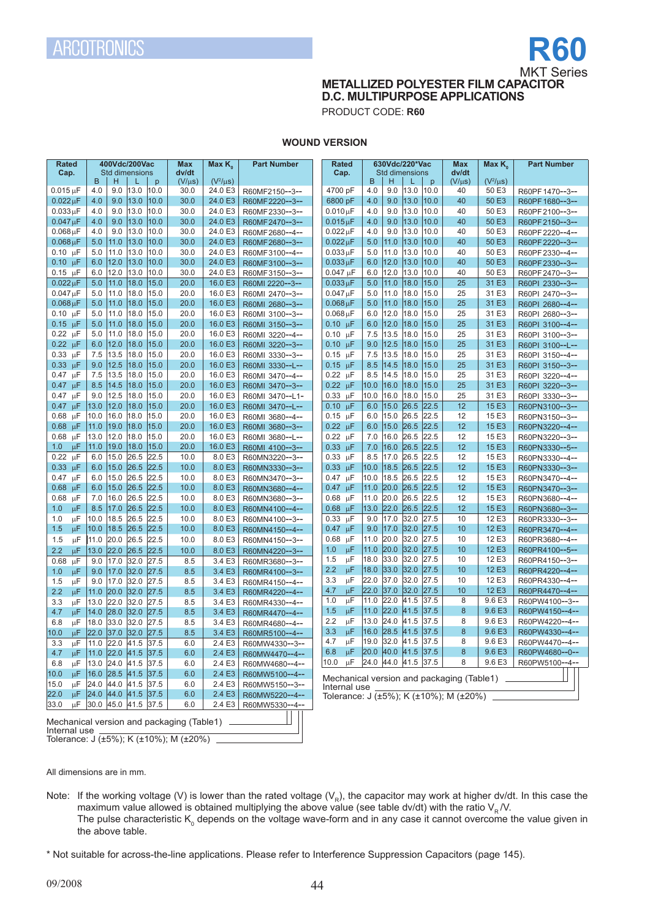

**METALLIZED POLYESTER FILM CAPACITOR D.C. MULTIPURPOSE APPLICATIONS**

PRODUCT CODE: **R60**

# **WOUND VERSION**

| <b>Rated</b><br>Cap.                                              | 400Vdc/200Vac<br><b>Std dimensions</b> |              |              | Max<br>dv/dt | Max K <sub>0</sub> | <b>Part Number</b>                 | Rated<br>Cap.                                                      |            | 630Vdc/220*Vac<br>Std dimensions |              |              | <b>Max</b><br>dv/dt | Max $K_{\alpha}$ | <b>Part Number</b>                 |
|-------------------------------------------------------------------|----------------------------------------|--------------|--------------|--------------|--------------------|------------------------------------|--------------------------------------------------------------------|------------|----------------------------------|--------------|--------------|---------------------|------------------|------------------------------------|
|                                                                   | H<br>B                                 | L            | $\mathsf{D}$ | $(V/\mu s)$  | $(V^2/\mu s)$      |                                    |                                                                    | B          | H                                | L            | p            | $(V/\mu s)$         | $(V^2/\mu s)$    |                                    |
| $0.015$ uF                                                        | 9.0<br>4.0                             | 13.0         | 10.0         | 30.0         | 24.0 E3            | R60MF2150--3--                     | 4700 pF                                                            | 4.0        | 9.0                              | 13.0         | 10.0         | 40                  | 50 E3            | R60PF1470--3--                     |
| $0.022 \,\mu F$                                                   | 9.0<br>4.0                             | 13.0         | 10.0         | 30.0         | 24.0 E3            | R60MF2220--3--                     | 6800 pF                                                            | 4.0        | 9.0                              | 13.0         | 10.0         | 40                  | 50 E3            | R60PF1680--3--                     |
| $0.033 \mu F$                                                     | 9.0<br>4.0                             | 13.0         | 10.0         | 30.0         | 24.0 E3            | R60MF2330--3--                     | $0.010 \mu F$                                                      | 4.0        | 9.0                              | 13.0         | 10.0         | 40                  | 50 E3            | R60PF2100--3--                     |
| $0.047 \mu F$                                                     | 4.0<br>9.0                             | 13.0         | 10.0         | 30.0         | 24.0 E3            | R60MF2470--3--                     | $0.015 \mu F$                                                      | 4.0        | 9.0                              | 13.0         | 10.0         | 40                  | 50 E3            | R60PF2150--3--                     |
| $0.068 \mu F$                                                     | 4.0<br>9.0                             | 13.0         | 10.0         | 30.0         | 24.0 E3            | R60MF2680--4--                     | $0.022 \mu F$                                                      | 4.0        | 9.0                              | 13.0         | 10.0         | 40                  | 50 E3            | R60PF 2220--4--                    |
| $0.068 \,\mu F$                                                   | 11.0<br>5.0                            | 13.0         | 10.0         | 30.0         | 24.0 E3            | R60MF2680--3--                     | $0.022 \mu F$                                                      | 5.0        | 11.0                             | 13.0         | 10.0         | 40                  | 50 E3            | R60PF 2220--3--                    |
| $0.10 \mu F$                                                      | 11.0<br>5.0                            | 13.0         | 10.0         | 30.0         | 24.0 E3            | R60MF3100--4--                     | $0.033 \mu F$                                                      | 5.0        | 11.0                             | 13.0         | 10.0         | 40                  | 50 E3            | R60PF 2330--4--                    |
| $0.10 \text{ }\mu\text{F}$                                        | 6.0<br>12.0<br>12.0<br>6.0             | 13.0<br>13.0 | 10.0<br>10.0 | 30.0<br>30.0 | 24.0 E3<br>24.0 E3 | R60MF3100--3--                     | $0.033 \mu F$<br>$0.047 \mu F$                                     | 6.0<br>6.0 | 12.0<br>12.0                     | 13.0<br>13.0 | 10.0<br>10.0 | 40<br>40            | 50 E3<br>50 E3   | R60PF2330--3--                     |
| $0.15 \mu F$<br>$0.022 \mu F$                                     | 5.0<br>11.0                            | 18.0         | 15.0         | 20.0         | 16.0 E3            | R60MF3150--3--                     | $0.033 \mu F$                                                      | 5.0        | 11.0                             | 18.0         | 15.0         | 25                  | 31 E3            | R60PF 2470--3--                    |
| $0.047 \mu F$                                                     | 5.0<br>11.0                            | 18.0         | 15.0         | 20.0         | 16.0 E3            | R60MI 2220--3--<br>R60MI 2470--3-- | $0.047 \mu F$                                                      | 5.0        | 11.0                             | 18.0         | 15.0         | 25                  | 31 E3            | R60PI 2330--3--                    |
| $0.068 \mu F$                                                     | 5.0<br>11.0                            | 18.0         | 15.0         | 20.0         | 16.0 E3            |                                    | $0.068 \mu F$                                                      | 5.0        | 11.0                             | 18.0         | 15.0         | 25                  | 31 E3            | R60PI 2470--3--                    |
| $0.10 \text{ uF}$                                                 | 5.0<br>11.0                            | 18.0         | 15.0         | 20.0         | 16.0 E3            | R60MI 2680--3--                    |                                                                    | 6.0        | 12.0                             | 18.0         | 15.0         | 25                  | 31 E3            | R60PI 2680--4--<br>R60PI 2680--3-- |
| $0.15 \mu F$                                                      | 11.0<br>5.0                            | 18.0         | 15.0         | 20.0         | 16.0 E3            | R60MI 3100--3--<br>R60MI 3150--3-- | $0.068 \mu F$<br>$0.10 \mu F$                                      | 6.0        | 12.0                             | 18.0         | 15.0         | 25                  | 31 E3            |                                    |
| $0.22 \mu F$                                                      | 5.0<br>11.0                            | 18.0         | 15.0         | 20.0         | 16.0 E3            | R60MI 3220--4--                    | $0.10 \mu F$                                                       | 7.5        | 13.5                             | 18.0         | 15.0         | 25                  | 31 E3            | R60PI 3100--4--                    |
| $0.22 \text{ }\mu\text{F}$                                        | 12.0<br>6.0                            | 18.0         | 15.0         | 20.0         | 16.0 E3            | R60MI 3220--3--                    | $0.10 \mu F$                                                       | 9.0        | 12.5                             | 18.0         | 15.0         | 25                  | 31 E3            | R60PI 3100--3--                    |
| 0.33<br>$\mu$ F                                                   | 13.5<br>7.5                            | 18.0         | 15.0         | 20.0         | 16.0 E3            | R60MI 3330--3--                    | $0.15 \mu F$                                                       | 7.5        | 13.5                             | 18.0         | 15.0         | 25                  | 31 E3            | R60PI 3100--L--<br>R60PI 3150--4-- |
| $0.33 \text{ }\mu\text{F}$                                        | 12.5<br>9.0                            | 18.0         | 15.0         | 20.0         | 16.0 E3            | R60MI 3330--L--                    | $0.15 \mu F$                                                       | 8.5        | 14.5                             | 18.0         | 15.0         | 25                  | 31 E3            | R60PI 3150--3--                    |
| $0.47 \mu F$                                                      | 7.5<br>13.5                            | 18.0         | 15.0         | 20.0         | 16.0 E3            | R60MI 3470--4--                    | $0.22 \mu F$                                                       | 8.5        | 14.5                             | 18.0         | 15.0         | 25                  | 31 E3            | R60PI 3220--4--                    |
| $0.47 \mu F$                                                      | 8.5<br>14.5                            | 18.0         | 15.0         | 20.0         | 16.0 E3            | R60MI 3470--3--                    | $0.22 \mu F$                                                       | 10.0       | 16.0                             | 18.0         | 15.0         | 25                  | 31 E3            | R60PI 3220--3--                    |
| $\mu$ F<br>0.47                                                   | 12.5<br>9.0                            | 18.0         | 15.0         | 20.0         | 16.0 E3            | R60MI 3470--L1-                    | $0.33 \mu F$                                                       | 10.0       | 16.0                             | 18.0         | 15.0         | 25                  | 31 E3            | R60PI 3330--3--                    |
| 0.47<br>μF                                                        | 12.0<br>13.0                           | 18.0         | 15.0         | 20.0         | 16.0 E3            | R60MI 3470--L--                    | $0.10 \text{ }\mu\text{F}$                                         | 6.0        | 15.0                             | 26.5         | 22.5         | 12                  | 15 E3            | R60PN3100--3--                     |
| 0.68<br>μF                                                        | 16.0<br>10.0                           | 18.0         | 15.0         | 20.0         | 16.0 E3            | R60MI 3680--4--                    | $0.15 \mu F$                                                       | 6.0        | 15.0                             | 26.5         | 22.5         | 12                  | 15 E3            | R60PN3150--3--                     |
| 0.68<br>$\mu$ F                                                   | 11.0<br>19.0                           | 18.0         | 15.0         | 20.0         | 16.0 E3            | R60MI 3680--3--                    | $0.22 \text{ }\mu\text{F}$                                         | 6.0        | 15.0                             | 26.5         | 22.5         | 12                  | 15 E3            | R60PN3220--4--                     |
| 0.68<br>$\mu$ F                                                   | 12.0<br>13.0                           | 18.0         | 15.0         | 20.0         | 16.0 E3            | R60MI 3680--L--                    | $0.22 \mu F$                                                       | 7.0        | 16.0                             | 26.5         | 22.5         | 12                  | 15 E3            | R60PN3220--3--                     |
| 1.0<br>μF                                                         | 19.0<br>11.0                           | 18.0         | 15.0         | 20.0         | 16.0 E3            | R60MI 4100--3--                    | $0.33 \mu F$                                                       | 7.0        | 16.0                             | 26.5         | 22.5         | 12                  | 15 E3            | R60PN3330--5--                     |
| 0.22<br>μF                                                        | 6.0<br>15.0                            | 26.5         | 22.5         | 10.0         | 8.0 E3             | R60MN3220--3--                     | $0.33 \text{ }\mu\text{F}$                                         | 8.5        | 17.0                             | 26.5         | 22.5         | 12                  | 15 E3            | R60PN3330--4--                     |
| 0.33<br>$\mu$ F                                                   | 6.0<br>15.0                            | 26.5         | 22.5         | 10.0         | 8.0 E3             | R60MN3330--3--                     | $0.33 \mu F$                                                       | 10.0       | 18.5                             | 26.5         | 22.5         | 12                  | 15 E3            | R60PN3330--3--                     |
| 0.47<br>$\mu$ F                                                   | 15.0<br>6.0                            | 26.5         | 22.5         | 10.0         | 8.0 E3             | R60MN3470--3--                     | $0.47 \mu F$                                                       | 10.0       | 18.5                             | 26.5         | 22.5         | 12                  | 15 E3            | R60PN3470--4--                     |
| 0.68<br>$\mu$ F                                                   | 6.0<br>15.0                            | 26.5         | 22.5         | 10.0         | 8.0 E3             | R60MN3680--4--                     | $0.47 \mu F$                                                       | 11.0       | 20.0                             | 26.5         | 22.5         | 12                  | 15 E3            | R60PN3470--3--                     |
| 0.68<br>μF                                                        | 16.0<br>7.0                            | 26.5         | 22.5         | 10.0         | 8.0 E3             | R60MN3680--3--                     | $0.68$ $\mu$ F                                                     | 11.0       | 20.0                             | 26.5         | 22.5         | 12                  | 15 E3            | R60PN3680--4--                     |
| 1.0<br>μF                                                         | 17.0<br>8.5                            | 26.5         | 22.5         | 10.0         | 8.0 E3             | R60MN4100--4--                     | $0.68$ µF                                                          | 13.0       | 22.0                             | 26.5         | 22.5         | 12                  | 15 E3            | R60PN3680--3--                     |
| μF<br>1.0                                                         | 18.5<br>10.0                           | 26.5         | 22.5         | 10.0         | 8.0 E3             | R60MN4100--3--                     | 0.33<br>$\mu$ F                                                    | 9.0        | 17.0                             | 32.0         | 27.5         | 10                  | 12 E3            | R60PR3330--3--                     |
| 1.5<br>μF                                                         | 10.0<br>18.5                           | 26.5         | 22.5         | 10.0         | 8.0 E3             | R60MN4150--4--                     | $0.47 \text{ }\mu\text{F}$                                         | 9.0        | 17.0                             | 32.0         | 27.5         | 10                  | 12 E3            | R60PR3470--4--                     |
| 1.5<br>$\upmu\text{F}$                                            | 20.0<br>11.0                           | 26.5         | 22.5         | 10.0         | 8.0 E3             | R60MN4150--3--                     | $\mu$ F<br>0.68                                                    | 11.0       | 20.0                             | 32.0         | 27.5         | 10                  | 12 E3            | R60PR3680--4--                     |
| 2.2<br>μF                                                         | 22.0 <br>13.0                          | 26.5         | 22.5         | 10.0         | 8.0 E3             | R60MN4220--3--                     | μF<br>1.0                                                          | 11.0       | 20.0                             | 32.0         | 27.5         | 10                  | 12 E3            | R60PR4100--5--                     |
| 0.68<br>$\mu$ F                                                   | 17.0<br>9.0                            | 32.0         | 27.5         | 8.5          | 3.4 E3             | R60MR3680--3--                     | μF<br>1.5                                                          | 18.0       | 33.0                             | 32.0         | 27.5         | 10                  | 12 E3            | R60PR4150--3--                     |
| μF<br>1.0                                                         | 9.0<br>17.0                            | 32.0         | 27.5         | 8.5          | 3.4 E3             | R60MR4100--3--                     | 2.2<br>μF                                                          | 18.0       | 33.0                             | 32.0         | 27.5         | 10                  | 12 E3            | R60PR4220--4--                     |
| μF<br>1.5                                                         | 9.0<br>17.0                            | 32.0         | 27.5         | 8.5          | 3.4 E3             | R60MR4150--4--                     | μF<br>3.3                                                          | 22.0       | 37.0                             | 32.0         | 27.5         | 10                  | 12 E3            | R60PR4330--4--                     |
| 2.2<br>μF                                                         | 20.0<br>11.0                           | 32.0         | 27.5         | 8.5          | 3.4 E3             | R60MR4220--4--                     | 4.7<br>$\mu$ F                                                     | 22.0       | 37.0                             | 32.0         | 27.5         | 10                  | 12 E3            | R60PR4470--4--                     |
| μF<br>3.3                                                         | 22.0<br>13.0                           | 32.0         | 27.5         | 8.5          | 3.4 E3             | R60MR4330--4--                     | μF<br>1.0                                                          | 11.0       | 22.0                             | 41.5         | 37.5         | 8                   | 9.6 E3           | R60PW4100--3--                     |
| 4.7<br>μF                                                         | 28.0<br>14.0                           | 32.0         | 27.5         | 8.5          | 3.4E3              | R60MR4470--4--                     | 1.5<br>μF                                                          | 11.0       | 22.0                             | 41.5         | 37.5         | 8                   | 9.6 E3           | R60PW4150--4--                     |
| 6.8<br>μF                                                         | 33.0<br>18.0                           | 32.0         | 27.5         | 8.5          | 3.4 E3             | R60MR4680--4--                     | 2.2<br>μF                                                          | 13.0       | 24.0                             | 41.5         | 37.5         | 8                   | 9.6 E3           | R60PW4220--4--                     |
| 10.0<br>μF                                                        | 22.0<br> 37.0                          | 32.0         | 27.5         | 8.5          | 3.4E3              | R60MR5100--4--                     | 3.3<br>μF                                                          | 16.0       | 28.5 41.5                        |              | 37.5         | 8                   | 9.6 E3           | R60PW4330--4--                     |
| 3.3<br>$\mu$ F                                                    | 11.0 22.0 41.5 37.5                    |              |              | 6.0          | 2.4E3              | R60MW4330--3--                     | μF<br>4.7                                                          | 19.0       | 32.0 41.5                        |              | 37.5         | 8                   | 9.6 E3           | R60PW4470--4--                     |
|                                                                   | 4.7 µF 11.0 22.0 41.5 37.5             |              |              | 6.0          | 2.4E3              | R60MW4470--4--                     | 6.8 $\mu$ F 20.0 40.0 41.5 37.5                                    |            |                                  |              |              | 8                   | 9.6 E3           | R60PW4680 -- 0--                   |
|                                                                   | 6.8 $\mu$ F 13.0 24.0 41.5 37.5        |              |              | 6.0          | 2.4 E3             | R60MW4680--4--                     | 10.0 $\mu$ F 24.0 44.0 41.5 37.5                                   |            |                                  |              |              | 8                   | 9.6 E3           | R60PW5100--4--                     |
| 10.0 µF 16.0 28.5 41.5 37.5                                       |                                        |              |              | 6.0          |                    | 2.4 E3   R60MW5100--4--            |                                                                    |            |                                  |              |              |                     |                  |                                    |
|                                                                   | 15.0 µF 24.0 44.0 41.5 37.5            |              |              | 6.0          | 2.4E3              | R60MW5150--3--                     | Mechanical version and packaging (Table1) ________<br>Internal use |            |                                  |              |              |                     |                  |                                    |
| 22.0 µF 24.0 44.0 41.5 37.5                                       |                                        |              |              | 6.0          |                    | 2.4 E3   R60MW5220--4--            | Tolerance: $J (±5%)$ ; K (±10%); M (±20%) _                        |            |                                  |              |              |                     |                  |                                    |
| 33.0 $\mu$ F 30.0 45.0 41.5 37.5                                  |                                        |              |              | 6.0          |                    | 2.4 E3   R60MW5330--4--            |                                                                    |            |                                  |              |              |                     |                  |                                    |
|                                                                   |                                        |              |              |              |                    |                                    |                                                                    |            |                                  |              |              |                     |                  |                                    |
| Mechanical version and packaging (Table1) ____<br>Internal use __ |                                        |              |              |              |                    |                                    |                                                                    |            |                                  |              |              |                     |                  |                                    |

Tolerance: J (±5%); K (±10%); M (±20%)

All dimensions are in mm.

Note: If the working voltage (V) is lower than the rated voltage (V<sub>R</sub>), the capacitor may work at higher dv/dt. In this case the maximum value allowed is obtained multiplying the above value (see table dv/dt) with the ratio  $\mathsf{V}_{\mathsf{R}}\mathcal{N}$ . The pulse characteristic K<sub>0</sub> depends on the voltage wave-form and in any case it cannot overcome the value given in the above table.

\* Not suitable for across-the-line applications. Please refer to Interference Suppression Capacitors (page 145).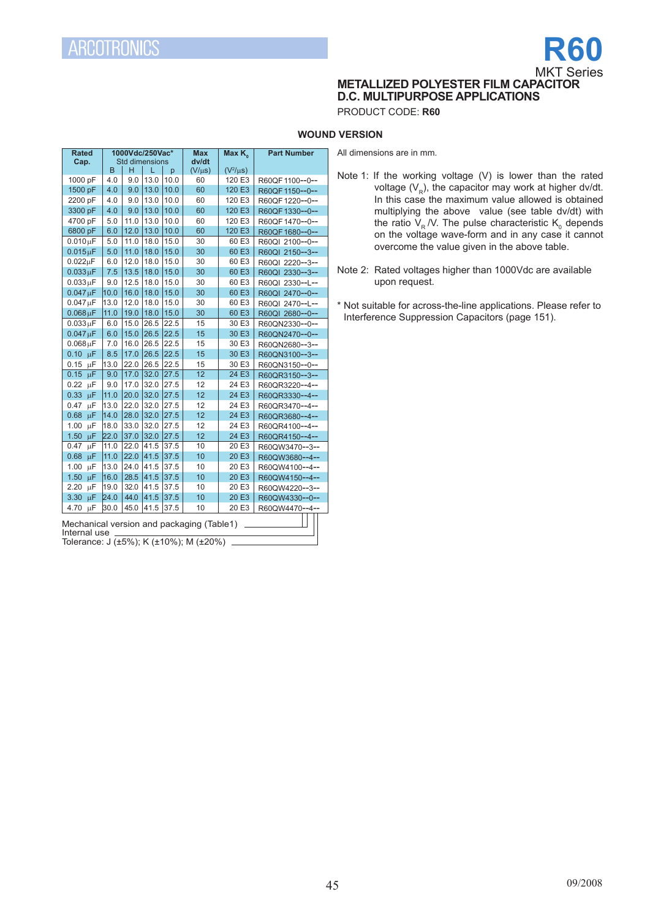# **R60** MKT Series

**METALLIZED POLYESTER FILM CAPACITOR D.C. MULTIPURPOSE APPLICATIONS**

PRODUCT CODE: **R60**

# **WOUND VERSION**

All dimensions are in mm.

**Rated Cap. 1000Vdc/250Vac\*** Std dimensions<br> $B \mid H \mid L \mid p$ **Max dv/dt Max K. Part Number**  $\begin{array}{|c|c|c|c|c|c|}\n\hline\nB & H & L & p & (V/\mu s) & (V^2/\mu s) \\
\hline\n4.0 & 9.0 & 13.0 & 10.0 & 60 & 120 & E3\n\end{array}$  $(V^2/\mu s)$ 1000 pF 4.0 9.0 13.0 10.0 60 120 E3 R60QF1100--0--<br>1500 pF 4.0 9.0 13.0 10.0 60 120 E3 R60QF1150--0--1500 pF 4.0 9.0 13.0 10.0 60 120 E3 R60QF1150--0-- 2200 pF 4.0 9.0 13.0 10.0 60 120 E3 R60QF1220--0--<br>3300 pF 4.0 9.0 13.0 10.0 60 120 E3 R60QF1330--0--3300 pF 4.0 9.0 13.0 10.0 60 120 E3 R60QF1330--0--<br>4700 pF 5.0 11.0 13.0 10.0 60 120 E3 R60QF1470--0--4700 pF 5.0 11.0 13.0 10.0 60 120 E3 R60QF1470--0--<br>6800 pF 6.0 12.0 13.0 10.0 60 120 E3 R60QF1680--0--6800 pF 6.0 12.0 13.0 10.0 60 120 E3 R60QF 1680--0--<br>0.010 uF 5.0 11.0 18.0 15.0 30 60 E3 R60QI 2100--0-- $0.010 \mu$ F 5.0 11.0 18.0 15.0 30 60 E3 R60QI 2100--0--<br> $0.015 \mu$ F 5.0 11.0 18.0 15.0 30 60 E3 R60QI 2150--3-- $0.015 \mu$ F 5.0 11.0 18.0 15.0 30 60 E3 R60QI 2150--3--<br>0.022uF 6.0 12.0 18.0 15.0 30 60 E3 R60QL 2220--3-- $0.022 \mu$ F 6.0 12.0 18.0 15.0 30 60 E3 R60QI 2220--3--<br> $0.033 \mu$ F 7.5 13.5 18.0 15.0 30 60 E3 R60QI 2330--3-- $0.033 \mu F$  7.5 13.5 18.0 15.0 30 60 E3 R60QI 2330--3--<br> $0.033 \mu F$  9.0 12.5 18.0 15.0 30 60 E3 R60QI 2330--L-- $0.033 \mu$ F 9.0 12.5 18.0 15.0 30 60 E3 R60QI 2330--L--<br> $0.047 \mu$ F 10.0 16.0 18.0 15.0 30 60 E3 R60QI 2470--0-- $0.047 \mu$ F 10.0 16.0 16.0 15.0 30 60 E3 R60QI 2470--0--<br> $0.047 \mu$ F 13.0 12.0 18.0 15.0 30 60 E3 R60QI 2470--L-- $0.047 \mu$ F 13.0 12.0 18.0 15.0 30 60 E3 R60QI 2470--L--<br>0.068  $\mu$ F 11.0 19.0 18.0 15.0 30 60 E3 R60QI 2680--0--R60QI 2680--0-- $0.033 \mu$ F 6.0 15.0 26.5 22.5 15 30 E3 R60QN2330--0--<br> $0.047 \mu$ F 6.0 15.0 26.5 22.5 15 30 E3 R60QN2470--0-- $0.047 \mu$ F 6.0 15.0 26.5 22.5 15 30 E3 R60QN2470--0--<br> $0.068 \mu$ F 7.0 16.0 26.5 22.5 15 30 E3 R60QN2680--3-- $0.068 \,\mu$ F 7.0 16.0 26.5 22.5 15 30 E3 R60QN2680--3--<br>0.10  $\mu$ F 8.5 17.0 26.5 22.5 15 30 E3 R60QN3100--3--0.10  $\mu$ F 8.5 17.0 26.5 22.5 15 30 E3 R60QN3100--3--<br>0.15  $\mu$ F 13.0 22.0 26.5 22.5 15 30 E3 R60QN3150--0--0.15 µF 13.0 22.0 26.5 22.5 15 30 E3 R60QN3150--0--<br>0.15 µF 9.0 17.0 32.0 27.5 12 24 E3 R60QR3150--3--0.15  $\mu$ F 9.0 17.0 32.0 27.5 12 24 E3 R60QR3150--3-<br>0.22  $\mu$ F 9.0 17.0 32.0 27.5 12 24 E3 R60QR3220--4- $0.22 \text{ }\mu\text{F}$  9.0 17.0 32.0 27.5 12 24 E3 R60QR3220--4--<br> $0.33 \text{ }\mu\text{F}$  11.0 20.0 32.0 27.5 12 24 E3 R60QR3330--4--0.33  $\mu$ F | 11.0 | 20.0 | 32.0 | 27.5 | 12 | 24 E3 | R60QR3330--4--<br>0.47  $\mu$ F | 13.0 | 22.0 | 32.0 | 27.5 | 12 | 24 E3 | R60QR3470--4- $0.47 \text{ }\mu\text{F}$  13.0 22.0 32.0 27.5 12 24 E3 R60QR3470--4--<br>0.68  $\mu\text{F}$  14.0 28.0 32.0 27.5 12 24 E3 R60QR3680--4--0.68 µF 14.0 28.0 32.0 27.5 12 24 E3 R60QR3680--4--<br>1.00 µF 18.0 33.0 32.0 27.5 12 24 E3 R60QR4100--4--1.00 µF 18.0 33.0 32.0 27.5 12 24 E3 R60QR4100--4--<br>1.50 µF 22.0 37.0 32.0 27.5 12 24 E3 R60QR4150--4--1.50  $\mu$ F 22.0 37.0 32.0 27.5 12 24 E3 R60QR4150--4--<br>0.47  $\mu$ F 11.0 22.0 41.5 37.5 10 20 E3 R60QW3470--3--0.47 µF 11.0 22.0 41.5 37.5 10 20 E3 R60QW3470--3--<br>0.68 µF 11.0 22.0 41.5 37.5 10 20 E3 R60QW3680--4--0.68  $\mu$ F 11.0 22.0 41.5 37.5 10 20 E3 R60QW3680--4-<br>1.00  $\mu$ F 13.0 24.0 41.5 37.5 10 20 E3 R60QW4100--4-1.00 µF 13.0 24.0 41.5 37.5 10 20 E3 R60QW4100--4--<br>1.50 µF 16.0 28.5 41.5 37.5 10 20 E3 R60QW4150--4--10 20 E3 R60QW4150--4--<br>10 20 E3 R60QW4220--3--2.20 µF 19.0 32.0 41.5 37.5 10 20 E3 R60QW4220--3--<br>3.30 uF 24.0 44.0 41.5 37.5 10 20 E3 R60QW4330--0--3.30 μF 24.0 |44.0 |41.5 |37.5 | 10 | 20 E3 | R60QW4330--0--4.70 μF 30.0 |45.0 |41.5 |37.5 | 10 20 E3 | R60QW4470--4--

Mechanical version and packaging (Table1) Internal use

Tolerance: J (±5%); K (±10%); M (±20%)

- Note 1: If the working voltage (V) is lower than the rated voltage  $(V_p)$ , the capacitor may work at higher dv/dt. In this case the maximum value allowed is obtained multiplying the above value (see table dv/dt) with the ratio  $V_R$  /V. The pulse characteristic  $K_{\text{o}}$  depends on the voltage wave-form and in any case it cannot overcome the value given in the above table.
- Note 2: Rated voltages higher than 1000Vdc are available upon request.

\* Not suitable for across-the-line applications. Please refer to Interference Suppression Capacitors (page 151).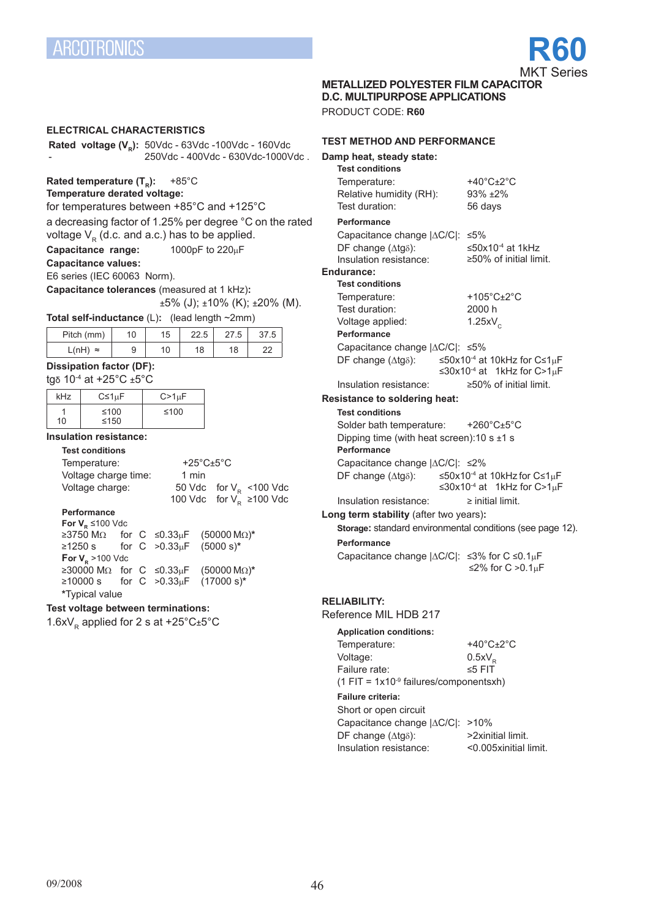

**METALLIZED POLYESTER FILM CAPACITOR** 

**D.C. MULTIPURPOSE APPLICATIONS**

PRODUCT CODE: **R60**

# **electrical characteristics Rated voltage (V<sub>R</sub>):** 50Vdc - 63Vdc -100Vdc - 160Vdc - 250Vdc - 400Vdc - 630Vdc-1000Vdc . **Rated temperature (T<sub>R</sub>): +85°C Temperature derated voltage:** for temperatures between +85°C and +125°C a decreasing factor of 1.25% per degree °C on the rated voltage  $V_R$  (d.c. and a.c.) has to be applied.<br>**Capacitance range:** 1000pF to 220uF **Capacitance range: Capacitance values:** E6 series (IEC 60063 Norm). **Capacitance tolerances** (measured at 1 kHz)**:**  $±5\%$  (J);  $±10\%$  (K);  $±20\%$  (M). **Total self-inductance** (L)**:** (lead length ~2mm) Pitch (mm) 10 15 22.5 27.5 37.5 L(nH) ≈ 9 10 18 18 22 **Dissipation factor (DF):** tgδ 10-4 at +25°C ±5°C kHz  $\Big|$  C≤1µF  $\Big|$  C>1µF 1 10 ≤100  $< 150$ ≤100 **Insulation resistance: Test conditions** Temperature: +25°C±5°C Voltage charge time: 1 min<br>Voltage charge: 50 Vdc 50 Vdc for  $V_R$  <100 Vdc 100 Vdc for  $V_R^2$  ≥100 Vdc **Performance For V<sub>P</sub> ≤100 Vdc** ≥3750 MΩ for C ≤0.33µF (50000 MΩ)**\*** for  $C > 0.33 \mu F$ **For V<sub>p</sub>** >100 Vdc ≥30000 MΩ for C ≤0.33µF (50000 MΩ)**\*** for C >0.33<sub>u</sub>F **\***Typical value **Test voltage between terminations:** 1.6x $V_R$  applied for 2 s at +25°C $\pm$ 5°C

### **test method and performance**

| Damp heat, steady state:<br><b>Test conditions</b>             |                                                                                                                                    |
|----------------------------------------------------------------|------------------------------------------------------------------------------------------------------------------------------------|
| Temperature:                                                   | +40 $^{\circ}$ C $\pm$ 2 $^{\circ}$ C                                                                                              |
| Relative humidity (RH):                                        | $93\% + 2\%$                                                                                                                       |
| Test duration:                                                 | 56 days                                                                                                                            |
| Performance                                                    |                                                                                                                                    |
| Capacitance change  ∆C/C : ≤5%                                 |                                                                                                                                    |
| DF change (Atg8):                                              | ≤50x10 <sup>-4</sup> at 1kHz                                                                                                       |
| Insulation resistance:                                         | $\geq$ 50% of initial limit.                                                                                                       |
| Endurance:                                                     |                                                                                                                                    |
| <b>Test conditions</b>                                         |                                                                                                                                    |
| Temperature:                                                   | +105 $^{\circ}$ C $\pm$ 2 $^{\circ}$ C                                                                                             |
| Test duration:                                                 | 2000 h                                                                                                                             |
| Voltage applied:<br>Performance                                | $1.25xV_c$                                                                                                                         |
| Capacitance change  ∆C/C : ≤5%                                 |                                                                                                                                    |
| DF change $(\Delta t g \delta)$ :                              | ≤50x10 <sup>-4</sup> at 10kHz for C≤1µF                                                                                            |
|                                                                | $\leq 30x10^{-4}$ at 1kHz for C>1µF                                                                                                |
| Insulation resistance:                                         | ≥50% of initial limit.                                                                                                             |
| <b>Resistance to soldering heat:</b>                           |                                                                                                                                    |
| <b>Test conditions</b>                                         |                                                                                                                                    |
| Solder bath temperature:                                       | +260 $^{\circ}$ C $\pm$ 5 $^{\circ}$ C                                                                                             |
| Dipping time (with heat screen): 10 s $\pm$ 1 s<br>Performance |                                                                                                                                    |
| Capacitance change  ∆C/C : ≤2%                                 |                                                                                                                                    |
|                                                                | DF change ( $\triangle$ tg $\delta$ ): $\leq$ 50x10 <sup>-4</sup> at 10kHz for C $\leq$ 1µF<br>$\leq 30x10^{-4}$ at 1kHz for C>1µF |
| Insulation resistance:                                         | $\ge$ initial limit.                                                                                                               |
| Long term stability (after two years):                         | Storage: standard environmental conditions (see page 12).                                                                          |
| Performance                                                    |                                                                                                                                    |
| Capacitance change  ∆C/C : ≤3% for C ≤0.1µF                    | ≤2% for $C > 0.1$ <sub>u</sub> F                                                                                                   |
| <b>RELIABILITY:</b>                                            |                                                                                                                                    |
| Reference MIL HDB 217                                          |                                                                                                                                    |
| <b>Application conditions:</b>                                 |                                                                                                                                    |
|                                                                |                                                                                                                                    |

| Temperature:                                         | +40 $^{\circ}$ C $\pm$ 2 $^{\circ}$ C |  |  |  |  |
|------------------------------------------------------|---------------------------------------|--|--|--|--|
| Voltage:                                             | $0.5xV_{\rm p}$                       |  |  |  |  |
| Failure rate:                                        | $\leq 5$ FIT                          |  |  |  |  |
| $(1$ FIT = 1x10 <sup>-9</sup> failures/componentsxh) |                                       |  |  |  |  |

#### **Failure criteria:**

| Capacitance change $ \Delta C/C $ : >10% |
|------------------------------------------|
| >2xinitial limit.                        |
| <0.005xinitial limit.                    |
|                                          |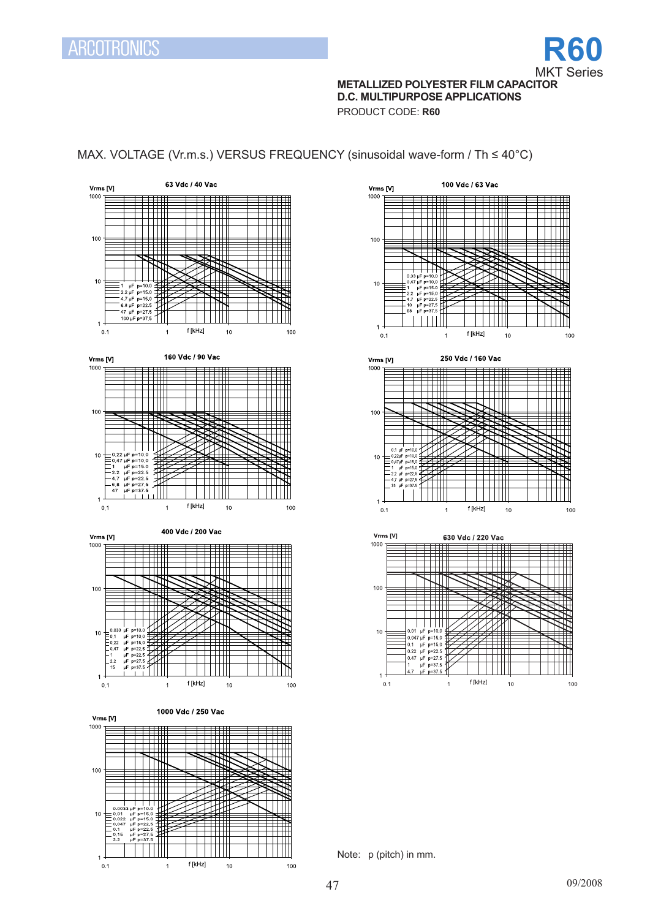

# **METALLIZED POLYESTER FILM CAPACITOR D.C. MULTIPURPOSE APPLICATIONS**

PRODUCT CODE: **R60**

# MAX. VOLTAGE (Vr.m.s.) VERSUS FREQUENCY (sinusoidal wave-form / Th ≤ 40°C)





Note: p (pitch) in mm.